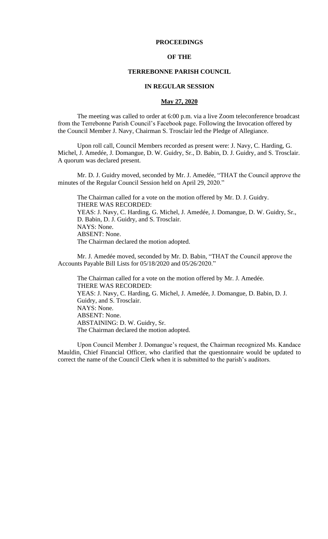## **PROCEEDINGS**

## **OF THE**

### **TERREBONNE PARISH COUNCIL**

### **IN REGULAR SESSION**

### **May 27, 2020**

The meeting was called to order at 6:00 p.m. via a live Zoom teleconference broadcast from the Terrebonne Parish Council's Facebook page. Following the Invocation offered by the Council Member J. Navy, Chairman S. Trosclair led the Pledge of Allegiance.

Upon roll call, Council Members recorded as present were: J. Navy, C. Harding, G. Michel, J. Amedée, J. Domangue, D. W. Guidry, Sr., D. Babin, D. J. Guidry, and S. Trosclair. A quorum was declared present.

Mr. D. J. Guidry moved, seconded by Mr. J. Amedée, "THAT the Council approve the minutes of the Regular Council Session held on April 29, 2020."

The Chairman called for a vote on the motion offered by Mr. D. J. Guidry. THERE WAS RECORDED: YEAS: J. Navy, C. Harding, G. Michel, J. Amedée, J. Domangue, D. W. Guidry, Sr., D. Babin, D. J. Guidry, and S. Trosclair. NAYS: None. ABSENT: None. The Chairman declared the motion adopted.

Mr. J. Amedée moved, seconded by Mr. D. Babin, "THAT the Council approve the Accounts Payable Bill Lists for 05/18/2020 and 05/26/2020."

The Chairman called for a vote on the motion offered by Mr. J. Amedée. THERE WAS RECORDED: YEAS: J. Navy, C. Harding, G. Michel, J. Amedée, J. Domangue, D. Babin, D. J. Guidry, and S. Trosclair. NAYS: None. ABSENT: None. ABSTAINING: D. W. Guidry, Sr. The Chairman declared the motion adopted.

Upon Council Member J. Domangue's request, the Chairman recognized Ms. Kandace Mauldin, Chief Financial Officer, who clarified that the questionnaire would be updated to correct the name of the Council Clerk when it is submitted to the parish's auditors.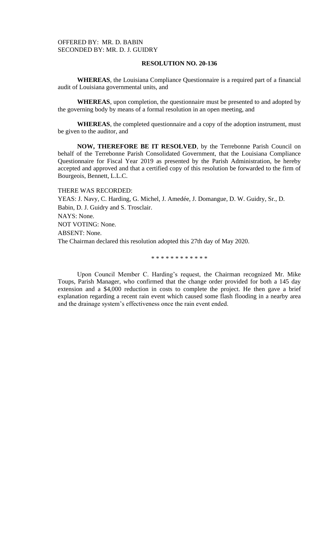**WHEREAS**, the Louisiana Compliance Questionnaire is a required part of a financial audit of Louisiana governmental units, and

**WHEREAS**, upon completion, the questionnaire must be presented to and adopted by the governing body by means of a formal resolution in an open meeting, and

**WHEREAS**, the completed questionnaire and a copy of the adoption instrument, must be given to the auditor, and

**NOW, THEREFORE BE IT RESOLVED**, by the Terrebonne Parish Council on behalf of the Terrebonne Parish Consolidated Government, that the Louisiana Compliance Questionnaire for Fiscal Year 2019 as presented by the Parish Administration, be hereby accepted and approved and that a certified copy of this resolution be forwarded to the firm of Bourgeois, Bennett, L.L.C.

THERE WAS RECORDED: YEAS: J. Navy, C. Harding, G. Michel, J. Amedée, J. Domangue, D. W. Guidry, Sr., D. Babin, D. J. Guidry and S. Trosclair. NAYS: None. NOT VOTING: None. ABSENT: None. The Chairman declared this resolution adopted this 27th day of May 2020.

\* \* \* \* \* \* \* \* \* \* \* \*

Upon Council Member C. Harding's request, the Chairman recognized Mr. Mike Toups, Parish Manager, who confirmed that the change order provided for both a 145 day extension and a \$4,000 reduction in costs to complete the project. He then gave a brief explanation regarding a recent rain event which caused some flash flooding in a nearby area and the drainage system's effectiveness once the rain event ended.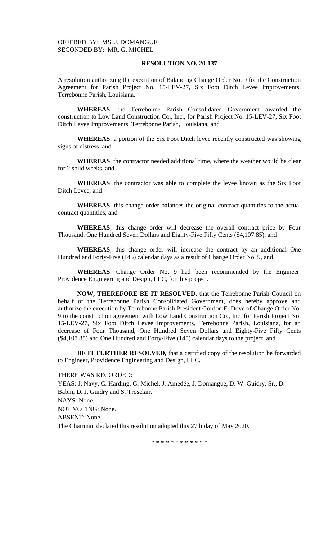A resolution authorizing the execution of Balancing Change Order No. 9 for the Construction Agreement for Parish Project No. 15-LEV-27, Six Foot Ditch Levee Improvements, Terrebonne Parish, Louisiana.

**WHEREAS**, the Terrebonne Parish Consolidated Government awarded the construction to Low Land Construction Co., Inc., for Parish Project No. 15-LEV-27, Six Foot Ditch Levee Improvements, Terrebonne Parish, Louisiana, and

**WHEREAS**, a portion of the Six Foot Ditch levee recently constructed was showing signs of distress, and

**WHEREAS**, the contractor needed additional time, where the weather would be clear for 2 solid weeks, and

**WHEREAS**, the contractor was able to complete the levee known as the Six Foot Ditch Levee, and

**WHEREAS**, this change order balances the original contract quantities to the actual contract quantities, and

**WHEREAS**, this change order will decrease the overall contract price by Four Thousand, One Hundred Seven Dollars and Eighty-Five Fifty Cents (\$4,107.85), and

**WHEREAS**, this change order will increase the contract by an additional One Hundred and Forty-Five (145) calendar days as a result of Change Order No. 9, and

**WHEREAS**, Change Order No. 9 had been recommended by the Engineer, Providence Engineering and Design, LLC, for this project.

**NOW, THEREFORE BE IT RESOLVED,** that the Terrebonne Parish Council on behalf of the Terrebonne Parish Consolidated Government, does hereby approve and authorize the execution by Terrebonne Parish President Gordon E. Dove of Change Order No. 9 to the construction agreement with Low Land Construction Co., Inc. for Parish Project No. 15-LEV-27, Six Foot Ditch Levee Improvements, Terrebonne Parish, Louisiana, for an decrease of Four Thousand, One Hundred Seven Dollars and Eighty-Five Fifty Cents (\$4,107.85) and One Hundred and Forty-Five (145) calendar days to the project, and

**BE IT FURTHER RESOLVED,** that a certified copy of the resolution be forwarded to Engineer, Providence Engineering and Design, LLC.

#### THERE WAS RECORDED:

YEAS: J. Navy, C. Harding, G. Michel, J. Amedée, J. Domangue, D. W. Guidry, Sr., D. Babin, D. J. Guidry and S. Trosclair. NAYS: None. NOT VOTING: None. ABSENT: None. The Chairman declared this resolution adopted this 27th day of May 2020.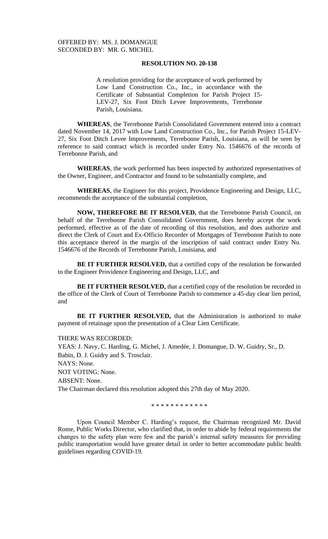A resolution providing for the acceptance of work performed by Low Land Construction Co., Inc., in accordance with the Certificate of Substantial Completion for Parish Project 15- LEV-27, Six Foot Ditch Levee Improvements, Terrebonne Parish, Louisiana.

**WHEREAS**, the Terrebonne Parish Consolidated Government entered into a contract dated November 14, 2017 with Low Land Construction Co., Inc., for Parish Project 15-LEV-27, Six Foot Ditch Levee Improvements, Terrebonne Parish, Louisiana, as will be seen by reference to said contract which is recorded under Entry No. 1546676 of the records of Terrebonne Parish, and

**WHEREAS**, the work performed has been inspected by authorized representatives of the Owner, Engineer, and Contractor and found to be substantially complete, and

**WHEREAS**, the Engineer for this project, Providence Engineering and Design, LLC, recommends the acceptance of the substantial completion,

**NOW, THEREFORE BE IT RESOLVED,** that the Terrebonne Parish Council, on behalf of the Terrebonne Parish Consolidated Government, does hereby accept the work performed, effective as of the date of recording of this resolution, and does authorize and direct the Clerk of Court and Ex-Officio Recorder of Mortgages of Terrebonne Parish to note this acceptance thereof in the margin of the inscription of said contract under Entry No. 1546676 of the Records of Terrebonne Parish, Louisiana, and

**BE IT FURTHER RESOLVED,** that a certified copy of the resolution be forwarded to the Engineer Providence Engineering and Design, LLC, and

**BE IT FURTHER RESOLVED,** that a certified copy of the resolution be recorded in the office of the Clerk of Court of Terrebonne Parish to commence a 45-day clear lien period, and

**BE IT FURTHER RESOLVED,** that the Administration is authorized to make payment of retainage upon the presentation of a Clear Lien Certificate.

THERE WAS RECORDED:

YEAS: J. Navy, C. Harding, G. Michel, J. Amedée, J. Domangue, D. W. Guidry, Sr., D. Babin, D. J. Guidry and S. Trosclair. NAYS: None. NOT VOTING: None. ABSENT: None. The Chairman declared this resolution adopted this 27th day of May 2020.

\* \* \* \* \* \* \* \* \* \* \* \*

Upon Council Member C. Harding's request, the Chairman recognized Mr. David Rome, Public Works Director, who clarified that, in order to abide by federal requirements the changes to the safety plan were few and the parish's internal safety measures for providing public transportation would have greater detail in order to better accommodate public health guidelines regarding COVID-19.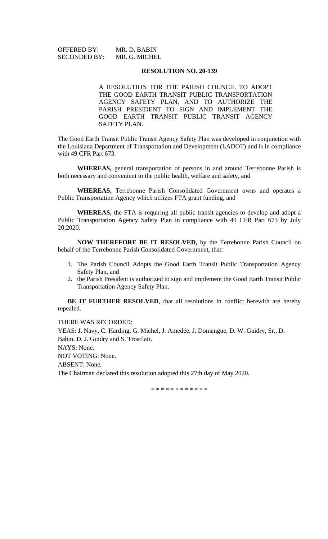| <b>OFFERED BY:</b>  | MR. D. BABIN  |
|---------------------|---------------|
| <b>SECONDED BY:</b> | MR. G. MICHEL |

A RESOLUTION FOR THE PARISH COUNCIL TO ADOPT THE GOOD EARTH TRANSIT PUBLIC TRANSPORTATION AGENCY SAFETY PLAN, AND TO AUTHORIZE THE PARISH PRESIDENT TO SIGN AND IMPLEMENT THE GOOD EARTH TRANSIT PUBLIC TRANSIT AGENCY SAFETY PLAN.

The Good Earth Transit Public Transit Agency Safety Plan was developed in conjunction with the Louisiana Department of Transportation and Development (LADOT) and is in compliance with 49 CFR Part 673.

**WHEREAS,** general transportation of persons in and around Terrebonne Parish is both necessary and convenient to the public health, welfare and safety, and

**WHEREAS,** Terrebonne Parish Consolidated Government owns and operates a Public Transportation Agency which utilizes FTA grant funding, and

**WHEREAS,** the FTA is requiring all public transit agencies to develop and adopt a Public Transportation Agency Safety Plan in compliance with 49 CFR Part 673 by July 20,2020.

**NOW THEREFORE BE IT RESOLVED,** by the Terrebonne Parish Council on behalf of the Terrebonne Parish Consolidated Government, that:

- 1. The Parish Council Adopts the Good Earth Transit Public Transportation Agency Safety Plan, and
- 2. the Parish President is authorized to sign and implement the Good Earth Transit Public Transportation Agency Safety Plan.

**BE IT FURTHER RESOLVED**, that all resolutions in conflict herewith are hereby repealed.

THERE WAS RECORDED:

YEAS: J. Navy, C. Harding, G. Michel, J. Amedée, J. Domangue, D. W. Guidry, Sr., D. Babin, D. J. Guidry and S. Trosclair.

NAYS: None.

NOT VOTING: None.

ABSENT: None.

The Chairman declared this resolution adopted this 27th day of May 2020.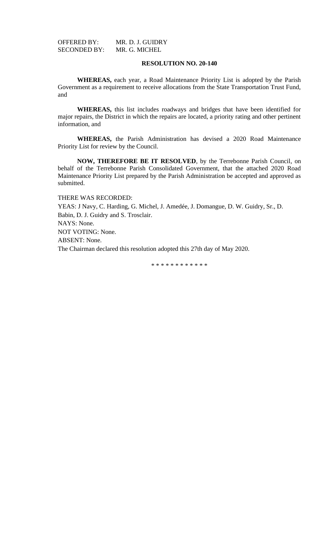OFFERED BY: MR. D. J. GUIDRY<br>SECONDED BY: MR. G. MICHEL SECONDED BY:

## **RESOLUTION NO. 20-140**

**WHEREAS,** each year, a Road Maintenance Priority List is adopted by the Parish Government as a requirement to receive allocations from the State Transportation Trust Fund, and

**WHEREAS,** this list includes roadways and bridges that have been identified for major repairs, the District in which the repairs are located, a priority rating and other pertinent information, and

**WHEREAS,** the Parish Administration has devised a 2020 Road Maintenance Priority List for review by the Council.

**NOW, THEREFORE BE IT RESOLVED**, by the Terrebonne Parish Council, on behalf of the Terrebonne Parish Consolidated Government, that the attached 2020 Road Maintenance Priority List prepared by the Parish Administration be accepted and approved as submitted.

THERE WAS RECORDED:

YEAS: J Navy, C. Harding, G. Michel, J. Amedée, J. Domangue, D. W. Guidry, Sr., D. Babin, D. J. Guidry and S. Trosclair. NAYS: None.

NOT VOTING: None.

ABSENT: None.

The Chairman declared this resolution adopted this 27th day of May 2020.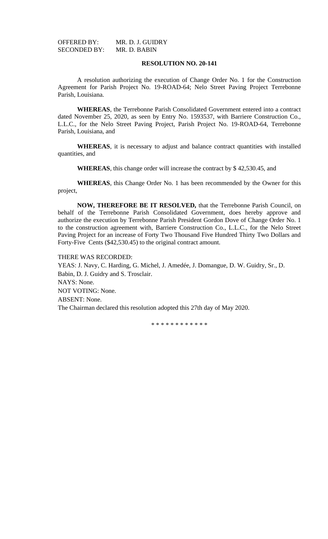OFFERED BY: MR. D. J. GUIDRY<br>SECONDED BY: MR. D. BABIN SECONDED BY:

## **RESOLUTION NO. 20-141**

A resolution authorizing the execution of Change Order No. 1 for the Construction Agreement for Parish Project No. 19-ROAD-64; Nelo Street Paving Project Terrebonne Parish, Louisiana.

**WHEREAS**, the Terrebonne Parish Consolidated Government entered into a contract dated November 25, 2020, as seen by Entry No. 1593537, with Barriere Construction Co., L.L.C., for the Nelo Street Paving Project, Parish Project No. 19-ROAD-64, Terrebonne Parish, Louisiana, and

**WHEREAS**, it is necessary to adjust and balance contract quantities with installed quantities, and

**WHEREAS**, this change order will increase the contract by \$ 42,530.45, and

**WHEREAS**, this Change Order No. 1 has been recommended by the Owner for this project,

**NOW, THEREFORE BE IT RESOLVED,** that the Terrebonne Parish Council, on behalf of the Terrebonne Parish Consolidated Government, does hereby approve and authorize the execution by Terrebonne Parish President Gordon Dove of Change Order No. 1 to the construction agreement with, Barriere Construction Co., L.L.C., for the Nelo Street Paving Project for an increase of Forty Two Thousand Five Hundred Thirty Two Dollars and Forty-Five Cents (\$42,530.45) to the original contract amount.

THERE WAS RECORDED:

YEAS: J. Navy, C. Harding, G. Michel, J. Amedée, J. Domangue, D. W. Guidry, Sr., D. Babin, D. J. Guidry and S. Trosclair. NAYS: None. NOT VOTING: None. ABSENT: None. The Chairman declared this resolution adopted this 27th day of May 2020.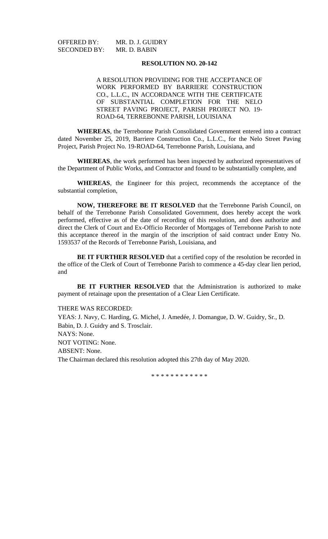OFFERED BY: MR. D. J. GUIDRY<br>SECONDED BY: MR. D. BABIN SECONDED BY:

## **RESOLUTION NO. 20-142**

A RESOLUTION PROVIDING FOR THE ACCEPTANCE OF WORK PERFORMED BY BARRIERE CONSTRUCTION CO., L.L.C., IN ACCORDANCE WITH THE CERTIFICATE OF SUBSTANTIAL COMPLETION FOR THE NELO STREET PAVING PROJECT, PARISH PROJECT NO. 19- ROAD-64, TERREBONNE PARISH, LOUISIANA

**WHEREAS**, the Terrebonne Parish Consolidated Government entered into a contract dated November 25, 2019, Barriere Construction Co., L.L.C., for the Nelo Street Paving Project, Parish Project No. 19-ROAD-64, Terrebonne Parish, Louisiana, and

**WHEREAS**, the work performed has been inspected by authorized representatives of the Department of Public Works, and Contractor and found to be substantially complete, and

**WHEREAS**, the Engineer for this project, recommends the acceptance of the substantial completion,

**NOW, THEREFORE BE IT RESOLVED** that the Terrebonne Parish Council, on behalf of the Terrebonne Parish Consolidated Government, does hereby accept the work performed, effective as of the date of recording of this resolution, and does authorize and direct the Clerk of Court and Ex-Officio Recorder of Mortgages of Terrebonne Parish to note this acceptance thereof in the margin of the inscription of said contract under Entry No. 1593537 of the Records of Terrebonne Parish, Louisiana, and

**BE IT FURTHER RESOLVED** that a certified copy of the resolution be recorded in the office of the Clerk of Court of Terrebonne Parish to commence a 45-day clear lien period, and

**BE IT FURTHER RESOLVED** that the Administration is authorized to make payment of retainage upon the presentation of a Clear Lien Certificate.

## THERE WAS RECORDED:

YEAS: J. Navy, C. Harding, G. Michel, J. Amedée, J. Domangue, D. W. Guidry, Sr., D. Babin, D. J. Guidry and S. Trosclair. NAYS: None. NOT VOTING: None. ABSENT: None. The Chairman declared this resolution adopted this 27th day of May 2020.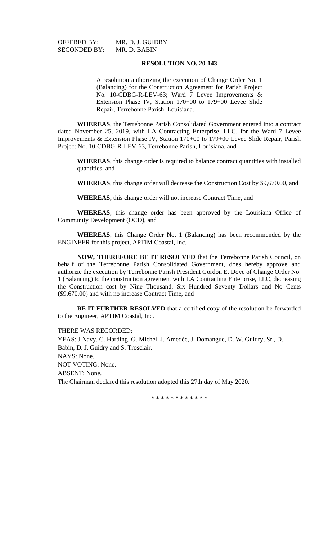SECONDED BY:

OFFERED BY: MR. D. J. GUIDRY<br>SECONDED BY: MR. D. BABIN

## **RESOLUTION NO. 20-143**

A resolution authorizing the execution of Change Order No. 1 (Balancing) for the Construction Agreement for Parish Project No. 10-CDBG-R-LEV-63; Ward 7 Levee Improvements & Extension Phase IV, Station 170+00 to 179+00 Levee Slide Repair, Terrebonne Parish, Louisiana.

**WHEREAS**, the Terrebonne Parish Consolidated Government entered into a contract dated November 25, 2019, with LA Contracting Enterprise, LLC, for the Ward 7 Levee Improvements & Extension Phase IV, Station 170+00 to 179+00 Levee Slide Repair, Parish Project No. 10-CDBG-R-LEV-63, Terrebonne Parish, Louisiana, and

**WHEREAS**, this change order is required to balance contract quantities with installed quantities, and

**WHEREAS**, this change order will decrease the Construction Cost by \$9,670.00, and

**WHEREAS,** this change order will not increase Contract Time, and

**WHEREAS**, this change order has been approved by the Louisiana Office of Community Development (OCD), and

**WHEREAS**, this Change Order No. 1 (Balancing) has been recommended by the ENGINEER for this project, APTIM Coastal, Inc.

**NOW, THEREFORE BE IT RESOLVED** that the Terrebonne Parish Council, on behalf of the Terrebonne Parish Consolidated Government, does hereby approve and authorize the execution by Terrebonne Parish President Gordon E. Dove of Change Order No. 1 (Balancing) to the construction agreement with LA Contracting Enterprise, LLC, decreasing the Construction cost by Nine Thousand, Six Hundred Seventy Dollars and No Cents (\$9,670.00) and with no increase Contract Time, and

**BE IT FURTHER RESOLVED** that a certified copy of the resolution be forwarded to the Engineer, APTIM Coastal, Inc.

THERE WAS RECORDED:

YEAS: J Navy, C. Harding, G. Michel, J. Amedée, J. Domangue, D. W. Guidry, Sr., D. Babin, D. J. Guidry and S. Trosclair. NAYS: None. NOT VOTING: None. ABSENT: None. The Chairman declared this resolution adopted this 27th day of May 2020.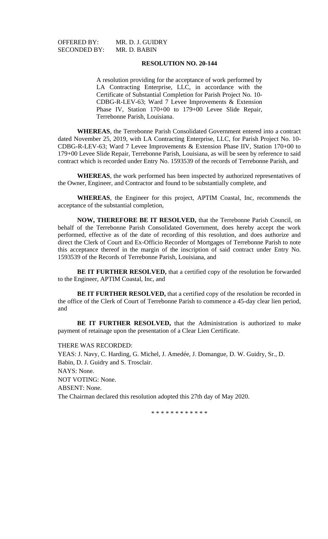SECONDED BY:

OFFERED BY: MR. D. J. GUIDRY<br>SECONDED BY: MR. D. BABIN

## **RESOLUTION NO. 20-144**

A resolution providing for the acceptance of work performed by LA Contracting Enterprise, LLC, in accordance with the Certificate of Substantial Completion for Parish Project No. 10- CDBG-R-LEV-63; Ward 7 Levee Improvements & Extension Phase IV, Station 170+00 to 179+00 Levee Slide Repair, Terrebonne Parish, Louisiana.

**WHEREAS**, the Terrebonne Parish Consolidated Government entered into a contract dated November 25, 2019, with LA Contracting Enterprise, LLC, for Parish Project No. 10- CDBG-R-LEV-63; Ward 7 Levee Improvements & Extension Phase IIV, Station 170+00 to 179+00 Levee Slide Repair, Terrebonne Parish, Louisiana, as will be seen by reference to said contract which is recorded under Entry No. 1593539 of the records of Terrebonne Parish, and

**WHEREAS**, the work performed has been inspected by authorized representatives of the Owner, Engineer, and Contractor and found to be substantially complete, and

**WHEREAS**, the Engineer for this project, APTIM Coastal, Inc, recommends the acceptance of the substantial completion,

**NOW, THEREFORE BE IT RESOLVED,** that the Terrebonne Parish Council, on behalf of the Terrebonne Parish Consolidated Government, does hereby accept the work performed, effective as of the date of recording of this resolution, and does authorize and direct the Clerk of Court and Ex-Officio Recorder of Mortgages of Terrebonne Parish to note this acceptance thereof in the margin of the inscription of said contract under Entry No. 1593539 of the Records of Terrebonne Parish, Louisiana, and

**BE IT FURTHER RESOLVED,** that a certified copy of the resolution be forwarded to the Engineer, APTIM Coastal, Inc, and

**BE IT FURTHER RESOLVED,** that a certified copy of the resolution be recorded in the office of the Clerk of Court of Terrebonne Parish to commence a 45-day clear lien period, and

**BE IT FURTHER RESOLVED,** that the Administration is authorized to make payment of retainage upon the presentation of a Clear Lien Certificate.

### THERE WAS RECORDED:

YEAS: J. Navy, C. Harding, G. Michel, J. Amedée, J. Domangue, D. W. Guidry, Sr., D. Babin, D. J. Guidry and S. Trosclair. NAYS: None. NOT VOTING: None. ABSENT: None. The Chairman declared this resolution adopted this 27th day of May 2020.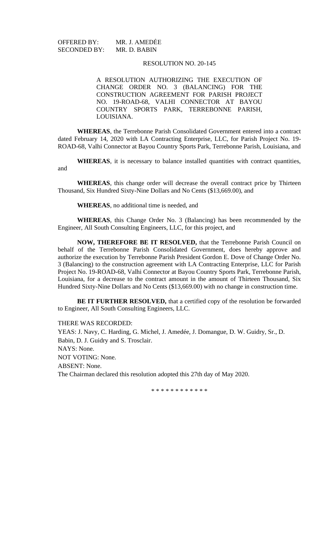OFFERED BY: MR. J. AMEDĖE<br>SECONDED BY: MR. D. BABIN SECONDED BY:

## RESOLUTION NO. 20-145

A RESOLUTION AUTHORIZING THE EXECUTION OF CHANGE ORDER NO. 3 (BALANCING) FOR THE CONSTRUCTION AGREEMENT FOR PARISH PROJECT NO. 19-ROAD-68, VALHI CONNECTOR AT BAYOU COUNTRY SPORTS PARK, TERREBONNE PARISH, LOUISIANA.

**WHEREAS**, the Terrebonne Parish Consolidated Government entered into a contract dated February 14, 2020 with LA Contracting Enterprise, LLC, for Parish Project No. 19- ROAD-68, Valhi Connector at Bayou Country Sports Park, Terrebonne Parish, Louisiana, and

**WHEREAS**, it is necessary to balance installed quantities with contract quantities, and

**WHEREAS**, this change order will decrease the overall contract price by Thirteen Thousand, Six Hundred Sixty-Nine Dollars and No Cents (\$13,669.00), and

**WHEREAS**, no additional time is needed, and

**WHEREAS**, this Change Order No. 3 (Balancing) has been recommended by the Engineer, All South Consulting Engineers, LLC, for this project, and

**NOW, THEREFORE BE IT RESOLVED,** that the Terrebonne Parish Council on behalf of the Terrebonne Parish Consolidated Government, does hereby approve and authorize the execution by Terrebonne Parish President Gordon E. Dove of Change Order No. 3 (Balancing) to the construction agreement with LA Contracting Enterprise, LLC for Parish Project No. 19-ROAD-68, Valhi Connector at Bayou Country Sports Park, Terrebonne Parish, Louisiana, for a decrease to the contract amount in the amount of Thirteen Thousand, Six Hundred Sixty-Nine Dollars and No Cents (\$13,669.00) with no change in construction time.

**BE IT FURTHER RESOLVED,** that a certified copy of the resolution be forwarded to Engineer, All South Consulting Engineers, LLC.

THERE WAS RECORDED:

YEAS: J. Navy, C. Harding, G. Michel, J. Amedée, J. Domangue, D. W. Guidry, Sr., D. Babin, D. J. Guidry and S. Trosclair. NAYS: None. NOT VOTING: None. ABSENT: None. The Chairman declared this resolution adopted this 27th day of May 2020.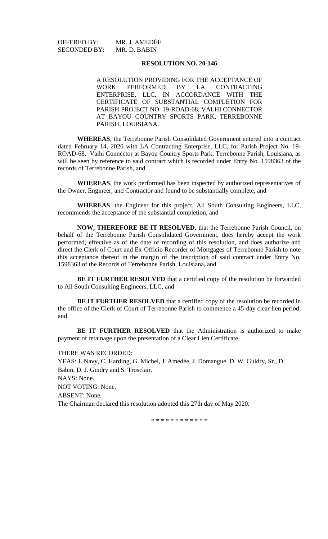OFFERED BY: MR. J. AMEDĖE<br>SECONDED BY: MR. D. BABIN SECONDED BY:

## **RESOLUTION NO. 20-146**

A RESOLUTION PROVIDING FOR THE ACCEPTANCE OF WORK PERFORMED BY LA CONTRACTING ENTERPRISE, LLC, IN ACCORDANCE WITH THE CERTIFICATE OF SUBSTANTIAL COMPLETION FOR PARISH PROJECT NO. 19-ROAD-68, VALHI CONNECTOR AT BAYOU COUNTRY SPORTS PARK, TERREBONNE PARISH, LOUISIANA.

**WHEREAS**, the Terrebonne Parish Consolidated Government entered into a contract dated February 14, 2020 with LA Contracting Enterprise, LLC, for Parish Project No. 19- ROAD-68, Valhi Connector at Bayou Country Sports Park, Terrebonne Parish, Louisiana, as will be seen by reference to said contract which is recorded under Entry No. 1598363 of the records of Terrebonne Parish, and

**WHEREAS**, the work performed has been inspected by authorized representatives of the Owner, Engineer, and Contractor and found to be substantially complete, and

**WHEREAS**, the Engineer for this project, All South Consulting Engineers, LLC, recommends the acceptance of the substantial completion, and

**NOW, THEREFORE BE IT RESOLVED,** that the Terrebonne Parish Council, on behalf of the Terrebonne Parish Consolidated Government, does hereby accept the work performed, effective as of the date of recording of this resolution, and does authorize and direct the Clerk of Court and Ex-Officio Recorder of Mortgages of Terrebonne Parish to note this acceptance thereof in the margin of the inscription of said contract under Entry No. 1598363 of the Records of Terrebonne Parish, Louisiana, and

**BE IT FURTHER RESOLVED** that a certified copy of the resolution be forwarded to All South Consulting Engineers, LLC, and

**BE IT FURTHER RESOLVED** that a certified copy of the resolution be recorded in the office of the Clerk of Court of Terrebonne Parish to commence a 45-day clear lien period, and

**BE IT FURTHER RESOLVED** that the Administration is authorized to make payment of retainage upon the presentation of a Clear Lien Certificate.

### THERE WAS RECORDED:

YEAS: J. Navy, C. Harding, G. Michel, J. Amedée, J. Domangue, D. W. Guidry, Sr., D. Babin, D. J. Guidry and S. Trosclair. NAYS: None. NOT VOTING: None. ABSENT: None. The Chairman declared this resolution adopted this 27th day of May 2020.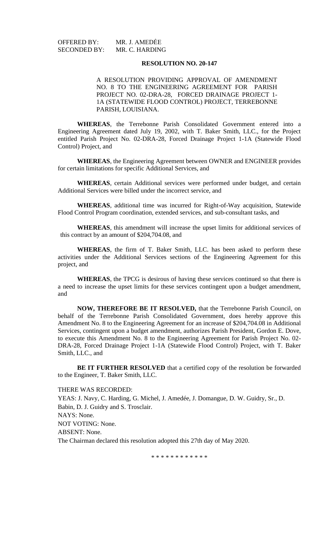OFFERED BY: MR. J. AMEDĖE<br>SECONDED BY: MR. C. HARDING SECONDED BY:

## **RESOLUTION NO. 20-147**

A RESOLUTION PROVIDING APPROVAL OF AMENDMENT NO. 8 TO THE ENGINEERING AGREEMENT FOR PARISH PROJECT NO. 02-DRA-28, FORCED DRAINAGE PROJECT 1- 1A (STATEWIDE FLOOD CONTROL) PROJECT, TERREBONNE PARISH, LOUISIANA.

**WHEREAS**, the Terrebonne Parish Consolidated Government entered into a Engineering Agreement dated July 19, 2002, with T. Baker Smith, LLC., for the Project entitled Parish Project No. 02-DRA-28, Forced Drainage Project 1-1A (Statewide Flood Control) Project, and

**WHEREAS**, the Engineering Agreement between OWNER and ENGINEER provides for certain limitations for specific Additional Services, and

**WHEREAS**, certain Additional services were performed under budget, and certain Additional Services were billed under the incorrect service, and

**WHEREAS**, additional time was incurred for Right-of-Way acquisition, Statewide Flood Control Program coordination, extended services, and sub-consultant tasks, and

**WHEREAS**, this amendment will increase the upset limits for additional services of this contract by an amount of \$204,704.08, and

**WHEREAS**, the firm of T. Baker Smith, LLC. has been asked to perform these activities under the Additional Services sections of the Engineering Agreement for this project, and

**WHEREAS**, the TPCG is desirous of having these services continued so that there is a need to increase the upset limits for these services contingent upon a budget amendment, and

**NOW, THEREFORE BE IT RESOLVED,** that the Terrebonne Parish Council, on behalf of the Terrebonne Parish Consolidated Government, does hereby approve this Amendment No. 8 to the Engineering Agreement for an increase of \$204,704.08 in Additional Services, contingent upon a budget amendment, authorizes Parish President, Gordon E. Dove, to execute this Amendment No. 8 to the Engineering Agreement for Parish Project No. 02- DRA-28, Forced Drainage Project 1-1A (Statewide Flood Control) Project, with T. Baker Smith, LLC., and

**BE IT FURTHER RESOLVED** that a certified copy of the resolution be forwarded to the Engineer, T. Baker Smith, LLC.

THERE WAS RECORDED:

YEAS: J. Navy, C. Harding, G. Michel, J. Amedée, J. Domangue, D. W. Guidry, Sr., D. Babin, D. J. Guidry and S. Trosclair. NAYS: None. NOT VOTING: None. ABSENT: None. The Chairman declared this resolution adopted this 27th day of May 2020.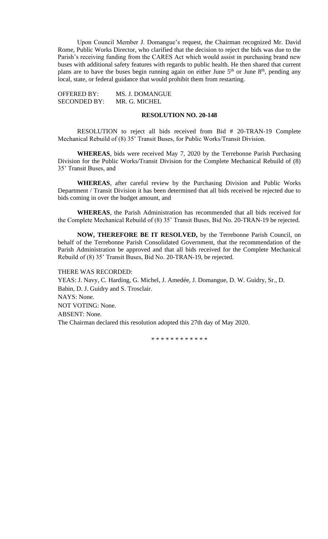Upon Council Member J. Domangue's request, the Chairman recognized Mr. David Rome, Public Works Director, who clarified that the decision to reject the bids was due to the Parish's receiving funding from the CARES Act which would assist in purchasing brand new buses with additional safety features with regards to public health. He then shared that current plans are to have the buses begin running again on either June 5<sup>th</sup> or June 8<sup>th</sup>, pending any local, state, or federal guidance that would prohibit them from restarting.

OFFERED BY: MS. J. DOMANGUE SECONDED BY: MR. G. MICHEL

## **RESOLUTION NO. 20-148**

RESOLUTION to reject all bids received from Bid # 20-TRAN-19 Complete Mechanical Rebuild of (8) 35' Transit Buses, for Public Works/Transit Division.

**WHEREAS**, bids were received May 7, 2020 by the Terrebonne Parish Purchasing Division for the Public Works/Transit Division for the Complete Mechanical Rebuild of (8) 35' Transit Buses, and

**WHEREAS**, after careful review by the Purchasing Division and Public Works Department / Transit Division it has been determined that all bids received be rejected due to bids coming in over the budget amount, and

**WHEREAS**, the Parish Administration has recommended that all bids received for the Complete Mechanical Rebuild of (8) 35' Transit Buses, Bid No. 20-TRAN-19 be rejected.

**NOW, THEREFORE BE IT RESOLVED,** by the Terrebonne Parish Council, on behalf of the Terrebonne Parish Consolidated Government, that the recommendation of the Parish Administration be approved and that all bids received for the Complete Mechanical Rebuild of (8) 35' Transit Buses, Bid No. 20-TRAN-19, be rejected.

THERE WAS RECORDED: YEAS: J. Navy, C. Harding, G. Michel, J. Amedée, J. Domangue, D. W. Guidry, Sr., D. Babin, D. J. Guidry and S. Trosclair. NAYS: None. NOT VOTING: None. ABSENT: None. The Chairman declared this resolution adopted this 27th day of May 2020.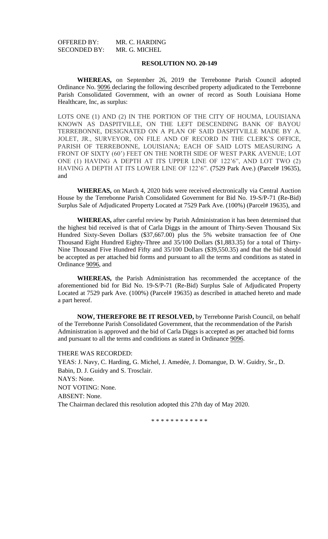OFFERED BY: MR. C. HARDING<br>SECONDED BY: MR. G. MICHEL SECONDED BY:

## **RESOLUTION NO. 20-149**

**WHEREAS,** on September 26, 2019 the Terrebonne Parish Council adopted Ordinance No. 9096 declaring the following described property adjudicated to the Terrebonne Parish Consolidated Government, with an owner of record as South Louisiana Home Healthcare, Inc, as surplus:

LOTS ONE (1) AND (2) IN THE PORTION OF THE CITY OF HOUMA, LOUISIANA KNOWN AS DASPITVILLE, ON THE LEFT DESCENDING BANK OF BAYOU TERREBONNE, DESIGNATED ON A PLAN OF SAID DASPITVILLE MADE BY A. JOLET, JR., SURVEYOR, ON FILE AND OF RECORD IN THE CLERK'S OFFICE, PARISH OF TERREBONNE, LOUISIANA; EACH OF SAID LOTS MEASURING A FRONT OF SIXTY (60') FEET ON THE NORTH SIDE OF WEST PARK AVENUE; LOT ONE (1) HAVING A DEPTH AT ITS UPPER LINE OF 122'6", AND LOT TWO (2) HAVING A DEPTH AT ITS LOWER LINE OF 122'6". (7529 Park Ave.) (Parcel# 19635), and

**WHEREAS,** on March 4, 2020 bids were received electronically via Central Auction House by the Terrebonne Parish Consolidated Government for Bid No. 19-S/P-71 (Re-Bid) Surplus Sale of Adjudicated Property Located at 7529 Park Ave. (100%) (Parcel# 19635), and

**WHEREAS,** after careful review by Parish Administration it has been determined that the highest bid received is that of Carla Diggs in the amount of Thirty-Seven Thousand Six Hundred Sixty-Seven Dollars (\$37,667.00) plus the 5% website transaction fee of One Thousand Eight Hundred Eighty-Three and 35/100 Dollars (\$1,883.35) for a total of Thirty-Nine Thousand Five Hundred Fifty and 35/100 Dollars (\$39,550.35) and that the bid should be accepted as per attached bid forms and pursuant to all the terms and conditions as stated in Ordinance 9096, and

**WHEREAS,** the Parish Administration has recommended the acceptance of the aforementioned bid for Bid No. 19-S/P-71 (Re-Bid) Surplus Sale of Adjudicated Property Located at 7529 park Ave. (100%) (Parcel# 19635) as described in attached hereto and made a part hereof.

**NOW, THEREFORE BE IT RESOLVED,** by Terrebonne Parish Council, on behalf of the Terrebonne Parish Consolidated Government, that the recommendation of the Parish Administration is approved and the bid of Carla Diggs is accepted as per attached bid forms and pursuant to all the terms and conditions as stated in Ordinance 9096.

## THERE WAS RECORDED:

YEAS: J. Navy, C. Harding, G. Michel, J. Amedée, J. Domangue, D. W. Guidry, Sr., D. Babin, D. J. Guidry and S. Trosclair. NAYS: None. NOT VOTING: None. ABSENT: None. The Chairman declared this resolution adopted this 27th day of May 2020.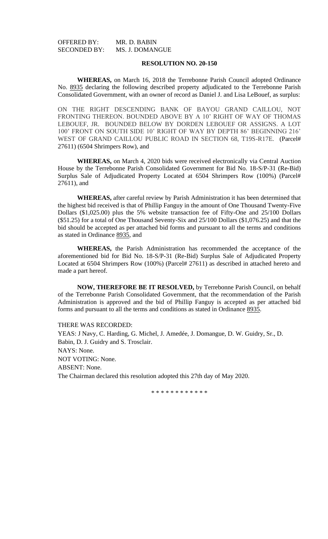OFFERED BY: MR. D. BABIN<br>SECONDED BY: MS. J. DOMAN MS. J. DOMANGUE

## **RESOLUTION NO. 20-150**

**WHEREAS,** on March 16, 2018 the Terrebonne Parish Council adopted Ordinance No. 8935 declaring the following described property adjudicated to the Terrebonne Parish Consolidated Government, with an owner of record as Daniel J. and Lisa LeBouef, as surplus:

ON THE RIGHT DESCENDING BANK OF BAYOU GRAND CAILLOU, NOT FRONTING THEREON. BOUNDED ABOVE BY A 10' RIGHT OF WAY OF THOMAS LEBOUEF, JR. BOUNDED BELOW BY DORDEN LEBOUEF OR ASSIGNS. A LOT 100' FRONT ON SOUTH SIDE 10' RIGHT OF WAY BY DEPTH 86' BEGINNING 216' WEST OF GRAND CAILLOU PUBLIC ROAD IN SECTION 68, T19S-R17E. (Parcel# 27611) (6504 Shrimpers Row), and

**WHEREAS,** on March 4, 2020 bids were received electronically via Central Auction House by the Terrebonne Parish Consolidated Government for Bid No. 18-S/P-31 (Re-Bid) Surplus Sale of Adjudicated Property Located at 6504 Shrimpers Row (100%) (Parcel# 27611), and

**WHEREAS,** after careful review by Parish Administration it has been determined that the highest bid received is that of Phillip Fanguy in the amount of One Thousand Twenty-Five Dollars (\$1,025.00) plus the 5% website transaction fee of Fifty-One and 25/100 Dollars (\$51.25) for a total of One Thousand Seventy-Six and 25/100 Dollars (\$1,076.25) and that the bid should be accepted as per attached bid forms and pursuant to all the terms and conditions as stated in Ordinance 8935, and

**WHEREAS,** the Parish Administration has recommended the acceptance of the aforementioned bid for Bid No. 18-S/P-31 (Re-Bid) Surplus Sale of Adjudicated Property Located at 6504 Shrimpers Row (100%) (Parcel# 27611) as described in attached hereto and made a part hereof.

**NOW, THEREFORE BE IT RESOLVED,** by Terrebonne Parish Council, on behalf of the Terrebonne Parish Consolidated Government, that the recommendation of the Parish Administration is approved and the bid of Phillip Fanguy is accepted as per attached bid forms and pursuant to all the terms and conditions as stated in Ordinance 8935.

THERE WAS RECORDED: YEAS: J Navy, C. Harding, G. Michel, J. Amedée, J. Domangue, D. W. Guidry, Sr., D. Babin, D. J. Guidry and S. Trosclair. NAYS: None. NOT VOTING: None. ABSENT: None. The Chairman declared this resolution adopted this 27th day of May 2020.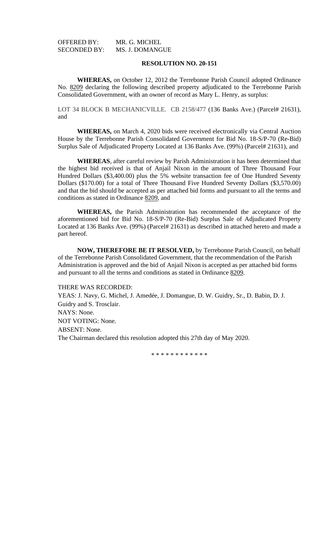OFFERED BY: MR. G. MICHEL SECONDED BY: MS. J. DOMANGUE

## **RESOLUTION NO. 20-151**

**WHEREAS,** on October 12, 2012 the Terrebonne Parish Council adopted Ordinance No. 8209 declaring the following described property adjudicated to the Terrebonne Parish Consolidated Government, with an owner of record as Mary L. Henry, as surplus:

LOT 34 BLOCK B MECHANICVILLE. CB 2158/477 (136 Banks Ave.) (Parcel# 21631), and

**WHEREAS,** on March 4, 2020 bids were received electronically via Central Auction House by the Terrebonne Parish Consolidated Government for Bid No. 18-S/P-70 (Re-Bid) Surplus Sale of Adjudicated Property Located at 136 Banks Ave. (99%) (Parcel# 21631), and

**WHEREAS**, after careful review by Parish Administration it has been determined that the highest bid received is that of Anjail Nixon in the amount of Three Thousand Four Hundred Dollars (\$3,400.00) plus the 5% website transaction fee of One Hundred Seventy Dollars (\$170.00) for a total of Three Thousand Five Hundred Seventy Dollars (\$3,570.00) and that the bid should be accepted as per attached bid forms and pursuant to all the terms and conditions as stated in Ordinance 8209, and

**WHEREAS,** the Parish Administration has recommended the acceptance of the aforementioned bid for Bid No. 18-S/P-70 (Re-Bid) Surplus Sale of Adjudicated Property Located at 136 Banks Ave. (99%) (Parcel# 21631) as described in attached hereto and made a part hereof.

**NOW, THEREFORE BE IT RESOLVED,** by Terrebonne Parish Council, on behalf of the Terrebonne Parish Consolidated Government, that the recommendation of the Parish Administration is approved and the bid of Anjail Nixon is accepted as per attached bid forms and pursuant to all the terms and conditions as stated in Ordinance 8209.

### THERE WAS RECORDED:

YEAS: J. Navy, G. Michel, J. Amedée, J. Domangue, D. W. Guidry, Sr., D. Babin, D. J. Guidry and S. Trosclair. NAYS: None. NOT VOTING: None. ABSENT: None. The Chairman declared this resolution adopted this 27th day of May 2020.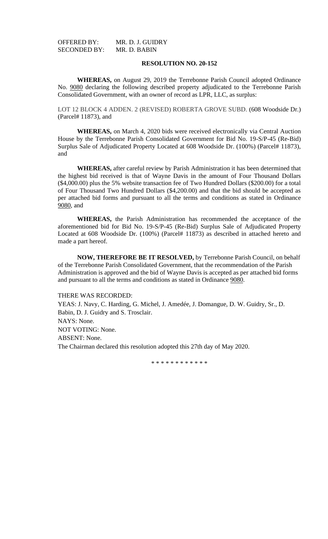OFFERED BY: MR. D. J. GUIDRY<br>SECONDED BY: MR. D. BABIN SECONDED BY:

## **RESOLUTION NO. 20-152**

**WHEREAS,** on August 29, 2019 the Terrebonne Parish Council adopted Ordinance No. 9080 declaring the following described property adjudicated to the Terrebonne Parish Consolidated Government, with an owner of record as LPR, LLC, as surplus:

LOT 12 BLOCK 4 ADDEN. 2 (REVISED) ROBERTA GROVE SUBD. (608 Woodside Dr.) (Parcel# 11873), and

**WHEREAS,** on March 4, 2020 bids were received electronically via Central Auction House by the Terrebonne Parish Consolidated Government for Bid No. 19-S/P-45 (Re-Bid) Surplus Sale of Adjudicated Property Located at 608 Woodside Dr. (100%) (Parcel# 11873), and

**WHEREAS,** after careful review by Parish Administration it has been determined that the highest bid received is that of Wayne Davis in the amount of Four Thousand Dollars (\$4,000.00) plus the 5% website transaction fee of Two Hundred Dollars (\$200.00) for a total of Four Thousand Two Hundred Dollars (\$4,200.00) and that the bid should be accepted as per attached bid forms and pursuant to all the terms and conditions as stated in Ordinance 9080, and

**WHEREAS,** the Parish Administration has recommended the acceptance of the aforementioned bid for Bid No. 19-S/P-45 (Re-Bid) Surplus Sale of Adjudicated Property Located at 608 Woodside Dr. (100%) (Parcel# 11873) as described in attached hereto and made a part hereof.

**NOW, THEREFORE BE IT RESOLVED,** by Terrebonne Parish Council, on behalf of the Terrebonne Parish Consolidated Government, that the recommendation of the Parish Administration is approved and the bid of Wayne Davis is accepted as per attached bid forms and pursuant to all the terms and conditions as stated in Ordinance 9080.

## THERE WAS RECORDED:

YEAS: J. Navy, C. Harding, G. Michel, J. Amedée, J. Domangue, D. W. Guidry, Sr., D. Babin, D. J. Guidry and S. Trosclair. NAYS: None. NOT VOTING: None. ABSENT: None. The Chairman declared this resolution adopted this 27th day of May 2020.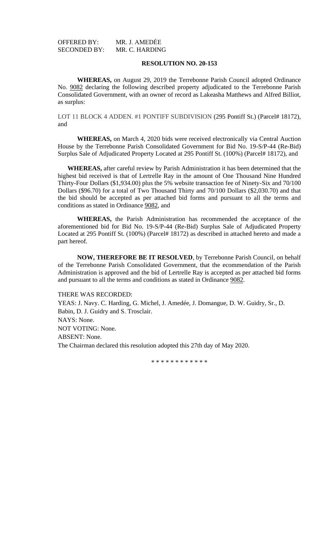OFFERED BY: MR. J. AMEDĖE SECONDED BY: MR. C. HARDING

## **RESOLUTION NO. 20-153**

**WHEREAS,** on August 29, 2019 the Terrebonne Parish Council adopted Ordinance No. 9082 declaring the following described property adjudicated to the Terrebonne Parish Consolidated Government, with an owner of record as Lakeasha Matthews and Alfred Billiot, as surplus:

LOT 11 BLOCK 4 ADDEN. #1 PONTIFF SUBDIVISION (295 Pontiff St.) (Parcel# 18172), and

**WHEREAS,** on March 4, 2020 bids were received electronically via Central Auction House by the Terrebonne Parish Consolidated Government for Bid No. 19-S/P-44 (Re-Bid) Surplus Sale of Adjudicated Property Located at 295 Pontiff St. (100%) (Parcel# 18172), and

**WHEREAS,** after careful review by Parish Administration it has been determined that the highest bid received is that of Lertrelle Ray in the amount of One Thousand Nine Hundred Thirty-Four Dollars (\$1,934.00) plus the 5% website transaction fee of Ninety-Six and 70/100 Dollars (\$96.70) for a total of Two Thousand Thirty and 70/100 Dollars (\$2,030.70) and that the bid should be accepted as per attached bid forms and pursuant to all the terms and conditions as stated in Ordinance 9082, and

**WHEREAS,** the Parish Administration has recommended the acceptance of the aforementioned bid for Bid No. 19-S/P-44 (Re-Bid) Surplus Sale of Adjudicated Property Located at 295 Pontiff St. (100%) (Parcel# 18172) as described in attached hereto and made a part hereof.

**NOW, THEREFORE BE IT RESOLVED**, by Terrebonne Parish Council, on behalf of the Terrebonne Parish Consolidated Government, that the ecommendation of the Parish Administration is approved and the bid of Lertrelle Ray is accepted as per attached bid forms and pursuant to all the terms and conditions as stated in Ordinance 9082.

#### THERE WAS RECORDED:

YEAS: J. Navy. C. Harding, G. Michel, J. Amedée, J. Domangue, D. W. Guidry, Sr., D. Babin, D. J. Guidry and S. Trosclair. NAYS: None. NOT VOTING: None. ABSENT: None. The Chairman declared this resolution adopted this 27th day of May 2020.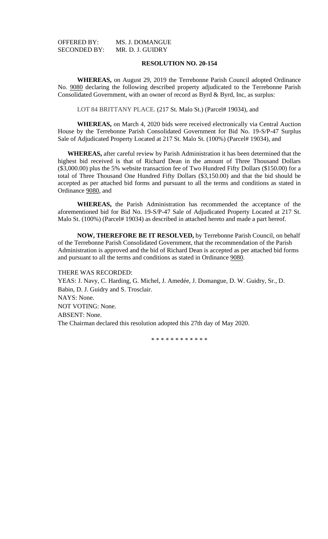| OFFERED BY:         | MS. J. DOMANGUE  |
|---------------------|------------------|
| <b>SECONDED BY:</b> | MR. D. J. GUIDRY |

**WHEREAS,** on August 29, 2019 the Terrebonne Parish Council adopted Ordinance No. 9080 declaring the following described property adjudicated to the Terrebonne Parish Consolidated Government, with an owner of record as Byrd & Byrd, Inc, as surplus:

LOT 84 BRITTANY PLACE. (217 St. Malo St.) (Parcel# 19034), and

**WHEREAS,** on March 4, 2020 bids were received electronically via Central Auction House by the Terrebonne Parish Consolidated Government for Bid No. 19-S/P-47 Surplus Sale of Adjudicated Property Located at 217 St. Malo St. (100%) (Parcel# 19034), and

**WHEREAS,** after careful review by Parish Administration it has been determined that the highest bid received is that of Richard Dean in the amount of Three Thousand Dollars (\$3,000.00) plus the 5% website transaction fee of Two Hundred Fifty Dollars (\$150.00) for a total of Three Thousand One Hundred Fifty Dollars (\$3,150.00) and that the bid should be accepted as per attached bid forms and pursuant to all the terms and conditions as stated in Ordinance 9080, and

**WHEREAS,** the Parish Administration has recommended the acceptance of the aforementioned bid for Bid No. 19-S/P-47 Sale of Adjudicated Property Located at 217 St. Malo St. (100%) (Parcel# 19034) as described in attached hereto and made a part hereof.

**NOW, THEREFORE BE IT RESOLVED,** by Terrebonne Parish Council, on behalf of the Terrebonne Parish Consolidated Government, that the recommendation of the Parish Administration is approved and the bid of Richard Dean is accepted as per attached bid forms and pursuant to all the terms and conditions as stated in Ordinance 9080.

THERE WAS RECORDED:

YEAS: J. Navy, C. Harding, G. Michel, J. Amedée, J. Domangue, D. W. Guidry, Sr., D. Babin, D. J. Guidry and S. Trosclair. NAYS: None. NOT VOTING: None. ABSENT: None. The Chairman declared this resolution adopted this 27th day of May 2020.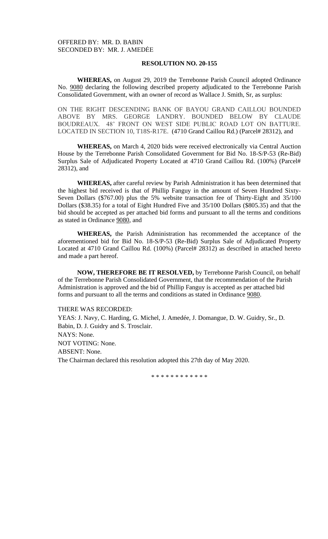**WHEREAS,** on August 29, 2019 the Terrebonne Parish Council adopted Ordinance No. 9080 declaring the following described property adjudicated to the Terrebonne Parish Consolidated Government, with an owner of record as Wallace J. Smith, Sr, as surplus:

ON THE RIGHT DESCENDING BANK OF BAYOU GRAND CAILLOU BOUNDED ABOVE BY MRS. GEORGE LANDRY. BOUNDED BELOW BY CLAUDE BOUDREAUX. 48' FRONT ON WEST SIDE PUBLIC ROAD LOT ON BATTURE. LOCATED IN SECTION 10, T18S-R17E. (4710 Grand Caillou Rd.) (Parcel# 28312), and

**WHEREAS,** on March 4, 2020 bids were received electronically via Central Auction House by the Terrebonne Parish Consolidated Government for Bid No. 18-S/P-53 (Re-Bid) Surplus Sale of Adjudicated Property Located at 4710 Grand Caillou Rd. (100%) (Parcel# 28312), and

**WHEREAS,** after careful review by Parish Administration it has been determined that the highest bid received is that of Phillip Fanguy in the amount of Seven Hundred Sixty-Seven Dollars (\$767.00) plus the 5% website transaction fee of Thirty-Eight and 35/100 Dollars (\$38.35) for a total of Eight Hundred Five and 35/100 Dollars (\$805.35) and that the bid should be accepted as per attached bid forms and pursuant to all the terms and conditions as stated in Ordinance 9080, and

**WHEREAS,** the Parish Administration has recommended the acceptance of the aforementioned bid for Bid No. 18-S/P-53 (Re-Bid) Surplus Sale of Adjudicated Property Located at 4710 Grand Caillou Rd. (100%) (Parcel# 28312) as described in attached hereto and made a part hereof.

**NOW, THEREFORE BE IT RESOLVED,** by Terrebonne Parish Council, on behalf of the Terrebonne Parish Consolidated Government, that the recommendation of the Parish Administration is approved and the bid of Phillip Fanguy is accepted as per attached bid forms and pursuant to all the terms and conditions as stated in Ordinance 9080.

#### THERE WAS RECORDED:

YEAS: J. Navy, C. Harding, G. Michel, J. Amedée, J. Domangue, D. W. Guidry, Sr., D. Babin, D. J. Guidry and S. Trosclair. NAYS: None. NOT VOTING: None. ABSENT: None. The Chairman declared this resolution adopted this 27th day of May 2020.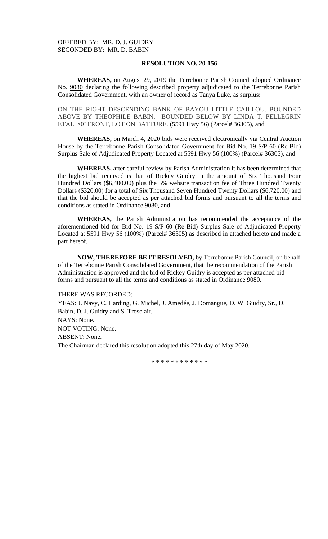**WHEREAS,** on August 29, 2019 the Terrebonne Parish Council adopted Ordinance No. 9080 declaring the following described property adjudicated to the Terrebonne Parish Consolidated Government, with an owner of record as Tanya Luke, as surplus:

ON THE RIGHT DESCENDING BANK OF BAYOU LITTLE CAILLOU. BOUNDED ABOVE BY THEOPHILE BABIN. BOUNDED BELOW BY LINDA T. PELLEGRIN ETAL 80' FRONT, LOT ON BATTURE. (5591 Hwy 56) (Parcel# 36305), and

**WHEREAS,** on March 4, 2020 bids were received electronically via Central Auction House by the Terrebonne Parish Consolidated Government for Bid No. 19-S/P-60 (Re-Bid) Surplus Sale of Adjudicated Property Located at 5591 Hwy 56 (100%) (Parcel# 36305), and

**WHEREAS,** after careful review by Parish Administration it has been determined that the highest bid received is that of Rickey Guidry in the amount of Six Thousand Four Hundred Dollars (\$6,400.00) plus the 5% website transaction fee of Three Hundred Twenty Dollars (\$320.00) for a total of Six Thousand Seven Hundred Twenty Dollars (\$6.720.00) and that the bid should be accepted as per attached bid forms and pursuant to all the terms and conditions as stated in Ordinance 9080, and

**WHEREAS,** the Parish Administration has recommended the acceptance of the aforementioned bid for Bid No. 19-S/P-60 (Re-Bid) Surplus Sale of Adjudicated Property Located at 5591 Hwy 56 (100%) (Parcel# 36305) as described in attached hereto and made a part hereof.

**NOW, THEREFORE BE IT RESOLVED,** by Terrebonne Parish Council, on behalf of the Terrebonne Parish Consolidated Government, that the recommendation of the Parish Administration is approved and the bid of Rickey Guidry is accepted as per attached bid forms and pursuant to all the terms and conditions as stated in Ordinance 9080.

#### THERE WAS RECORDED:

YEAS: J. Navy, C. Harding, G. Michel, J. Amedée, J. Domangue, D. W. Guidry, Sr., D. Babin, D. J. Guidry and S. Trosclair. NAYS: None. NOT VOTING: None. ABSENT: None. The Chairman declared this resolution adopted this 27th day of May 2020.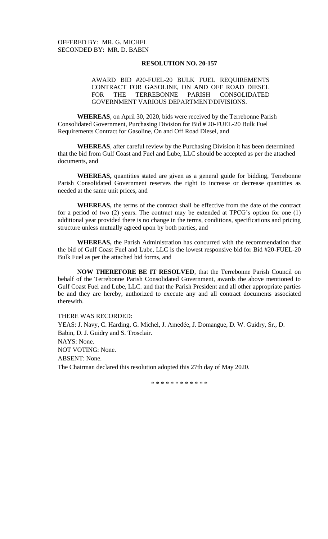## AWARD BID #20-FUEL-20 BULK FUEL REQUIREMENTS CONTRACT FOR GASOLINE, ON AND OFF ROAD DIESEL FOR THE TERREBONNE PARISH CONSOLIDATED GOVERNMENT VARIOUS DEPARTMENT/DIVISIONS.

**WHEREAS**, on April 30, 2020, bids were received by the Terrebonne Parish Consolidated Government, Purchasing Division for Bid # 20-FUEL-20 Bulk Fuel Requirements Contract for Gasoline, On and Off Road Diesel, and

**WHEREAS**, after careful review by the Purchasing Division it has been determined that the bid from Gulf Coast and Fuel and Lube, LLC should be accepted as per the attached documents, and

**WHEREAS,** quantities stated are given as a general guide for bidding, Terrebonne Parish Consolidated Government reserves the right to increase or decrease quantities as needed at the same unit prices, and

**WHEREAS,** the terms of the contract shall be effective from the date of the contract for a period of two (2) years. The contract may be extended at TPCG's option for one (1) additional year provided there is no change in the terms, conditions, specifications and pricing structure unless mutually agreed upon by both parties, and

**WHEREAS,** the Parish Administration has concurred with the recommendation that the bid of Gulf Coast Fuel and Lube, LLC is the lowest responsive bid for Bid #20-FUEL-20 Bulk Fuel as per the attached bid forms, and

**NOW THEREFORE BE IT RESOLVED**, that the Terrebonne Parish Council on behalf of the Terrebonne Parish Consolidated Government, awards the above mentioned to Gulf Coast Fuel and Lube, LLC. and that the Parish President and all other appropriate parties be and they are hereby, authorized to execute any and all contract documents associated therewith.

THERE WAS RECORDED: YEAS: J. Navy, C. Harding, G. Michel, J. Amedée, J. Domangue, D. W. Guidry, Sr., D. Babin, D. J. Guidry and S. Trosclair. NAYS: None. NOT VOTING: None. ABSENT: None. The Chairman declared this resolution adopted this 27th day of May 2020.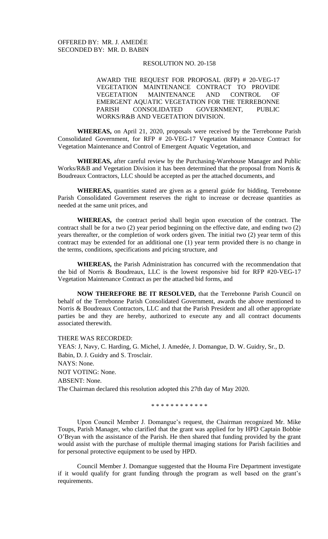AWARD THE REQUEST FOR PROPOSAL (RFP) # 20-VEG-17 VEGETATION MAINTENANCE CONTRACT TO PROVIDE VEGETATION MAINTENANCE AND CONTROL OF EMERGENT AQUATIC VEGETATION FOR THE TERREBONNE PARISH CONSOLIDATED GOVERNMENT, PUBLIC WORKS/R&B AND VEGETATION DIVISION.

**WHEREAS,** on April 21, 2020, proposals were received by the Terrebonne Parish Consolidated Government, for RFP # 20-VEG-17 Vegetation Maintenance Contract for Vegetation Maintenance and Control of Emergent Aquatic Vegetation, and

**WHEREAS,** after careful review by the Purchasing-Warehouse Manager and Public Works/R&B and Vegetation Division it has been determined that the proposal from Norris & Boudreaux Contractors, LLC should be accepted as per the attached documents, and

**WHEREAS,** quantities stated are given as a general guide for bidding, Terrebonne Parish Consolidated Government reserves the right to increase or decrease quantities as needed at the same unit prices, and

**WHEREAS,** the contract period shall begin upon execution of the contract. The contract shall be for a two (2) year period beginning on the effective date, and ending two (2) years thereafter, or the completion of work orders given. The initial two (2) year term of this contract may be extended for an additional one (1) year term provided there is no change in the terms, conditions, specifications and pricing structure, and

**WHEREAS,** the Parish Administration has concurred with the recommendation that the bid of Norris & Boudreaux, LLC is the lowest responsive bid for RFP #20-VEG-17 Vegetation Maintenance Contract as per the attached bid forms, and

**NOW THEREFORE BE IT RESOLVED,** that the Terrebonne Parish Council on behalf of the Terrebonne Parish Consolidated Government, awards the above mentioned to Norris & Boudreaux Contractors, LLC and that the Parish President and all other appropriate parties be and they are hereby, authorized to execute any and all contract documents associated therewith.

THERE WAS RECORDED:

YEAS: J, Navy, C. Harding, G. Michel, J. Amedée, J. Domangue, D. W. Guidry, Sr., D. Babin, D. J. Guidry and S. Trosclair. NAYS: None. NOT VOTING: None. ABSENT: None. The Chairman declared this resolution adopted this 27th day of May 2020.

\* \* \* \* \* \* \* \* \* \* \* \*

Upon Council Member J. Domangue's request, the Chairman recognized Mr. Mike Toups, Parish Manager, who clarified that the grant was applied for by HPD Captain Bobbie O'Bryan with the assistance of the Parish. He then shared that funding provided by the grant would assist with the purchase of multiple thermal imaging stations for Parish facilities and for personal protective equipment to be used by HPD.

Council Member J. Domangue suggested that the Houma Fire Department investigate if it would qualify for grant funding through the program as well based on the grant's requirements.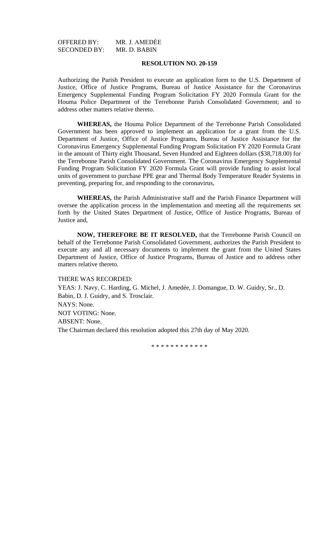## OFFERED BY: MR. J. AMEDĖE<br>SECONDED BY: MR. D. BABIN SECONDED BY:

## **RESOLUTION NO. 20-159**

Authorizing the Parish President to execute an application form to the U.S. Department of Justice, Office of Justice Programs, Bureau of Justice Assistance for the Coronavirus Emergency Supplemental Funding Program Solicitation FY 2020 Formula Grant for the Houma Police Department of the Terrebonne Parish Consolidated Government; and to address other matters relative thereto.

**WHEREAS,** the Houma Police Department of the Terrebonne Parish Consolidated Government has been approved to implement an application for a grant from the U.S. Department of Justice, Office of Justice Programs, Bureau of Justice Assistance for the Coronavirus Emergency Supplemental Funding Program Solicitation FY 2020 Formula Grant in the amount of Thirty eight Thousand, Seven Hundred and Eighteen dollars (\$38,718.00) for the Terrebonne Parish Consolidated Government. The Coronavirus Emergency Supplemental Funding Program Solicitation FY 2020 Formula Grant will provide funding to assist local units of government to purchase PPE gear and Thermal Body Temperature Reader Systems in preventing, preparing for, and responding to the coronavirus,

**WHEREAS,** the Parish Administrative staff and the Parish Finance Department will oversee the application process in the implementation and meeting all the requirements set forth by the United States Department of Justice, Office of Justice Programs, Bureau of Justice and,

**NOW, THEREFORE BE IT RESOLVED,** that the Terrebonne Parish Council on behalf of the Terrebonne Parish Consolidated Government, authorizes the Parish President to execute any and all necessary documents to implement the grant from the United States Department of Justice, Office of Justice Programs, Bureau of Justice and to address other matters relative thereto.

### THERE WAS RECORDED:

YEAS: J. Navy, C. Harding, G. Michel, J. Amedée, J. Domangue, D. W. Guidry, Sr., D. Babin, D. J. Guidry, and S. Trosclair. NAYS: None. NOT VOTING: None. ABSENT: None. The Chairman declared this resolution adopted this 27th day of May 2020.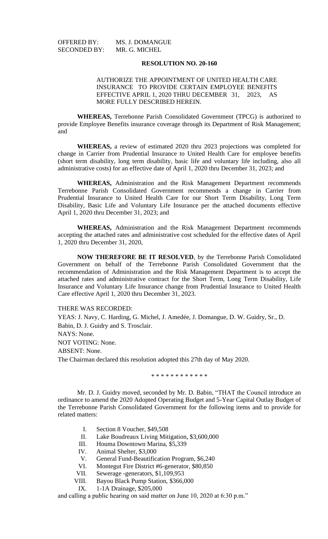SECONDED BY:

OFFERED BY: MS. J. DOMANGUE<br>SECONDED BY: MR. G. MICHEL

## **RESOLUTION NO. 20-160**

## AUTHORIZE THE APPOINTMENT OF UNITED HEALTH CARE INSURANCE TO PROVIDE CERTAIN EMPLOYEE BENEFITS EFFECTIVE APRIL 1, 2020 THRU DECEMBER 31, 2023, AS MORE FULLY DESCRIBED HEREIN.

**WHEREAS,** Terrebonne Parish Consolidated Government (TPCG) is authorized to provide Employee Benefits insurance coverage through its Department of Risk Management; and

**WHEREAS,** a review of estimated 2020 thru 2023 projections was completed for change in Carrier from Prudential Insurance to United Health Care for employee benefits (short term disability, long term disability, basic life and voluntary life including, also all administrative costs) for an effective date of April 1, 2020 thru December 31, 2023; and

**WHEREAS,** Administration and the Risk Management Department recommends Terrebonne Parish Consolidated Government recommends a change in Carrier from Prudential Insurance to United Health Care for our Short Term Disability, Long Term Disability, Basic Life and Voluntary Life Insurance per the attached documents effective April 1, 2020 thru December 31, 2023; and

**WHEREAS,** Administration and the Risk Management Department recommends accepting the attached rates and administrative cost scheduled for the effective dates of April 1, 2020 thru December 31, 2020,

**NOW THEREFORE BE IT RESOLVED**, by the Terrebonne Parish Consolidated Government on behalf of the Terrebonne Parish Consolidated Government that the recommendation of Administration and the Risk Management Department is to accept the attached rates and administrative contract for the Short Term, Long Term Disability, Life Insurance and Voluntary Life Insurance change from Prudential Insurance to United Health Care effective April 1, 2020 thru December 31, 2023.

THERE WAS RECORDED:

YEAS: J. Navy, C. Harding, G. Michel, J. Amedée, J. Domangue, D. W. Guidry, Sr., D. Babin, D. J. Guidry and S. Trosclair. NAYS: None. NOT VOTING: None. ABSENT: None. The Chairman declared this resolution adopted this 27th day of May 2020.

\* \* \* \* \* \* \* \* \* \* \* \*

Mr. D. J. Guidry moved, seconded by Mr. D. Babin, "THAT the Council introduce an ordinance to amend the 2020 Adopted Operating Budget and 5-Year Capital Outlay Budget of the Terrebonne Parish Consolidated Government for the following items and to provide for related matters:

- I. Section 8 Voucher, \$49,508
- II. Lake Boudreaux Living Mitigation, \$3,600,000
- III. Houma Downtown Marina, \$5,339
- IV. Animal Shelter, \$3,000
- 
- V. General Fund-Beautification Program, \$6,240<br>VI. Montegut Fire District #6-generator, \$80,850 Montegut Fire District #6-generator, \$80,850
- VII. Sewerage -generators, \$1,109,953
- VIII. Bayou Black Pump Station, \$366,000
- IX. 1-1A Drainage, \$205,000

and calling a public hearing on said matter on June 10, 2020 at 6:30 p.m."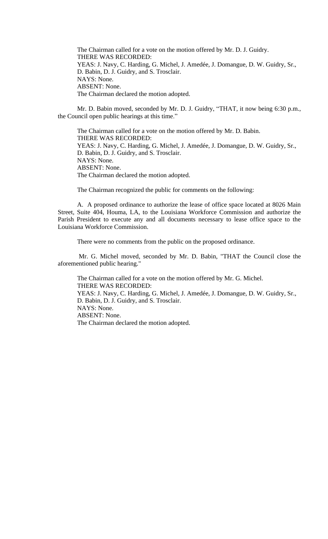The Chairman called for a vote on the motion offered by Mr. D. J. Guidry. THERE WAS RECORDED: YEAS: J. Navy, C. Harding, G. Michel, J. Amedée, J. Domangue, D. W. Guidry, Sr., D. Babin, D. J. Guidry, and S. Trosclair. NAYS: None. ABSENT: None. The Chairman declared the motion adopted.

Mr. D. Babin moved, seconded by Mr. D. J. Guidry, "THAT, it now being 6:30 p.m., the Council open public hearings at this time."

The Chairman called for a vote on the motion offered by Mr. D. Babin. THERE WAS RECORDED: YEAS: J. Navy, C. Harding, G. Michel, J. Amedée, J. Domangue, D. W. Guidry, Sr., D. Babin, D. J. Guidry, and S. Trosclair. NAYS: None. ABSENT: None. The Chairman declared the motion adopted.

The Chairman recognized the public for comments on the following:

A. A proposed ordinance to authorize the lease of office space located at 8026 Main Street, Suite 404, Houma, LA, to the Louisiana Workforce Commission and authorize the Parish President to execute any and all documents necessary to lease office space to the Louisiana Workforce Commission.

There were no comments from the public on the proposed ordinance.

Mr. G. Michel moved, seconded by Mr. D. Babin, "THAT the Council close the aforementioned public hearing."

The Chairman called for a vote on the motion offered by Mr. G. Michel. THERE WAS RECORDED: YEAS: J. Navy, C. Harding, G. Michel, J. Amedée, J. Domangue, D. W. Guidry, Sr., D. Babin, D. J. Guidry, and S. Trosclair. NAYS: None. ABSENT: None. The Chairman declared the motion adopted.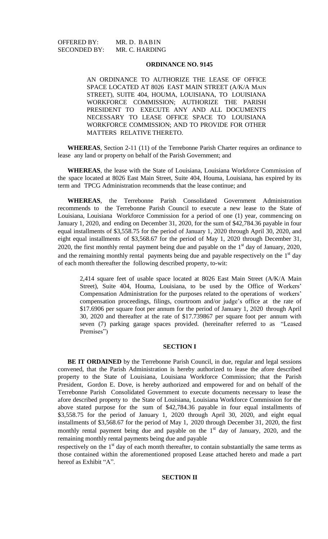OFFERED BY: MR. D. BABIN SECONDED BY: MR. C. HARDING

## **ORDINANCE NO. 9145**

AN ORDINANCE TO AUTHORIZE THE LEASE OF OFFICE SPACE LOCATED AT 8026 EAST MAIN STREET (A/K/A MAIN STREET), SUITE 404, HOUMA, LOUISIANA, TO LOUISIANA WORKFORCE COMMISSION; AUTHORIZE THE PARISH PRESIDENT TO EXECUTE ANY AND ALL DOCUMENTS NECESSARY TO LEASE OFFICE SPACE TO LOUISIANA WORKFORCE COMMISSION; AND TO PROVIDE FOR OTHER MATTERS RELATIVE THERETO.

**WHEREAS**, Section 2-11 (11) of the Terrebonne Parish Charter requires an ordinance to lease any land or property on behalf of the Parish Government; and

**WHEREAS**, the lease with the State of Louisiana, Louisiana Workforce Commission of the space located at 8026 East Main Street, Suite 404, Houma, Louisiana, has expired by its term and TPCG Administration recommends that the lease continue; and

**WHEREAS**, the Terrebonne Parish Consolidated Government Administration recommends to the Terrebonne Parish Council to execute a new lease to the State of Louisiana, Louisiana Workforce Commission for a period of one (1) year, commencing on January 1, 2020, and ending on December 31, 2020, for the sum of \$42,784.36 payable in four equal installments of \$3,558.75 for the period of January 1, 2020 through April 30, 2020, and eight equal installments of \$3,568.67 for the period of May 1, 2020 through December 31, 2020, the first monthly rental payment being due and payable on the  $1<sup>st</sup>$  day of January, 2020, and the remaining monthly rental payments being due and payable respectively on the  $1<sup>st</sup>$  day of each month thereafter the following described property, to-wit:

2,414 square feet of usable space located at 8026 East Main Street (A/K/A Main Street), Suite 404, Houma, Louisiana, to be used by the Office of Workers' Compensation Administration for the purposes related to the operations of workers' compensation proceedings, filings, courtroom and/or judge's office at the rate of \$17.6906 per square foot per annum for the period of January 1, 2020 through April 30, 2020 and thereafter at the rate of \$17.739867 per square foot per annum with seven (7) parking garage spaces provided. (hereinafter referred to as "Leased Premises")

## **SECTION I**

**BE IT ORDAINED** by the Terrebonne Parish Council, in due, regular and legal sessions convened, that the Parish Administration is hereby authorized to lease the afore described property to the State of Louisiana, Louisiana Workforce Commission; that the Parish President, Gordon E. Dove, is hereby authorized and empowered for and on behalf of the Terrebonne Parish Consolidated Government to execute documents necessary to lease the afore described property to the State of Louisiana, Louisiana Workforce Commission for the above stated purpose for the sum of \$42,784.36 payable in four equal installments of \$3,558.75 for the period of January 1, 2020 through April 30, 2020, and eight equal installments of \$3,568.67 for the period of May 1, 2020 through December 31, 2020, the first monthly rental payment being due and payable on the  $1<sup>st</sup>$  day of January, 2020, and the remaining monthly rental payments being due and payable

respectively on the  $1<sup>st</sup>$  day of each month thereafter, to contain substantially the same terms as those contained within the aforementioned proposed Lease attached hereto and made a part hereof as Exhibit "A".

# **SECTION II**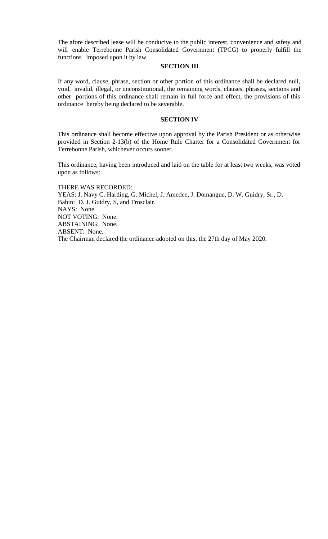The afore described lease will be conducive to the public interest, convenience and safety and will enable Terrebonne Parish Consolidated Government (TPCG) to properly fulfill the functions imposed upon it by law.

#### **SECTION III**

If any word, clause, phrase, section or other portion of this ordinance shall be declared null, void, invalid, illegal, or unconstitutional, the remaining words, clauses, phrases, sections and other portions of this ordinance shall remain in full force and effect, the provisions of this ordinance hereby being declared to be severable.

### **SECTION IV**

This ordinance shall become effective upon approval by the Parish President or as otherwise provided in Section 2-13(b) of the Home Rule Charter for a Consolidated Government for Terrebonne Parish, whichever occurs sooner.

This ordinance, having been introduced and laid on the table for at least two weeks, was voted upon as follows:

THERE WAS RECORDED: YEAS: J. Navy C. Harding, G. Michel, J. Amedee, J. Domangue, D. W. Guidry, Sr., D. Babin: D. J. Guidry, S, and Trosclair. NAYS: None. NOT VOTING: None. ABSTAINING: None. ABSENT: None. The Chairman declared the ordinance adopted on this, the 27th day of May 2020.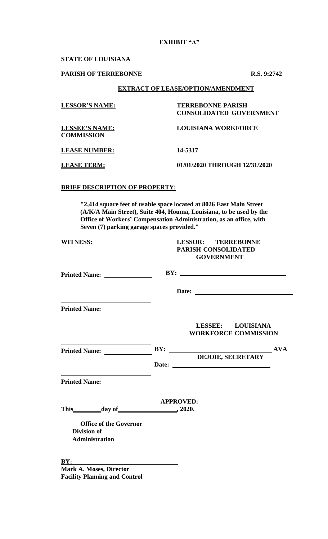# **EXHIBIT "A"**

### **STATE OF LOUISIANA**

## **PARISH OF TERREBONNE R.S. 9:2742**

## **EXTRACT OF LEASE/OPTION/AMENDMENT**

| <b>LESSOR'S NAME:</b>                      | <b>TERREBONNE PARISH</b><br><b>CONSOLIDATED GOVERNMENT</b> |  |  |
|--------------------------------------------|------------------------------------------------------------|--|--|
| <b>LESSEE'S NAME:</b><br><b>COMMISSION</b> | <b>LOUISIANA WORKFORCE</b>                                 |  |  |
| <b>LEASE NUMBER:</b>                       | 14-5317                                                    |  |  |
| <b>LEASE TERM:</b>                         | 01/01/2020 THROUGH 12/31/2020                              |  |  |

## **BRIEF DESCRIPTION OF PROPERTY:**

**"2,414 square feet of usable space located at 8026 East Main Street (A/K/A Main Street), Suite 404, Houma, Louisiana, to be used by the Office of Workers' Compensation Administration, as an office, with Seven (7) parking garage spaces provided."**

| <b>WITNESS:</b>                                                                                                                                                                                                                      | <b>LESSOR: TERREBONNE</b><br><b>PARISH CONSOLIDATED</b> |  |  |
|--------------------------------------------------------------------------------------------------------------------------------------------------------------------------------------------------------------------------------------|---------------------------------------------------------|--|--|
|                                                                                                                                                                                                                                      | <b>GOVERNMENT</b>                                       |  |  |
| the control of the control of the control of the control of the control of the control of                                                                                                                                            | BY:                                                     |  |  |
|                                                                                                                                                                                                                                      | Date:                                                   |  |  |
|                                                                                                                                                                                                                                      |                                                         |  |  |
|                                                                                                                                                                                                                                      | LESSEE: LOUISIANA<br><b>WORKFORCE COMMISSION</b>        |  |  |
| <u> 1989 - Andrea Stadt British Stadt British Stadt British Stadt British Stadt British Stadt British Stadt British Stadt British Stadt British Stadt British Stadt British Stadt British Stadt British Stadt British Stadt Brit</u> |                                                         |  |  |
|                                                                                                                                                                                                                                      | <b>DEJOIE, SECRETARY</b>                                |  |  |
| <u> 1989 - Johann John Stein, mars an deus Amerikaansk kommunister (</u>                                                                                                                                                             |                                                         |  |  |
|                                                                                                                                                                                                                                      | <b>APPROVED:</b>                                        |  |  |
| This day of 3020.                                                                                                                                                                                                                    |                                                         |  |  |
| <b>Office of the Governor</b>                                                                                                                                                                                                        |                                                         |  |  |
| <b>Division of</b><br><b>Administration</b>                                                                                                                                                                                          |                                                         |  |  |
| BY:                                                                                                                                                                                                                                  |                                                         |  |  |

**Mark A. Moses, Director Facility Planning and Control**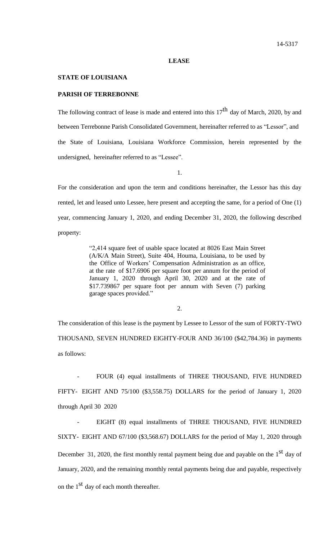#### **LEASE**

### **STATE OF LOUISIANA**

## **PARISH OF TERREBONNE**

The following contract of lease is made and entered into this  $17<sup>th</sup>$  day of March, 2020, by and between Terrebonne Parish Consolidated Government, hereinafter referred to as "Lessor", and the State of Louisiana, Louisiana Workforce Commission, herein represented by the undersigned, hereinafter referred to as "Lessee".

1.

For the consideration and upon the term and conditions hereinafter, the Lessor has this day rented, let and leased unto Lessee, here present and accepting the same, for a period of One (1) year, commencing January 1, 2020, and ending December 31, 2020, the following described property:

> "2,414 square feet of usable space located at 8026 East Main Street (A/K/A Main Street), Suite 404, Houma, Louisiana, to be used by the Office of Workers' Compensation Administration as an office, at the rate of \$17.6906 per square foot per annum for the period of January 1, 2020 through April 30, 2020 and at the rate of \$17.739867 per square foot per annum with Seven (7) parking garage spaces provided."

> > 2.

The consideration of this lease is the payment by Lessee to Lessor of the sum of FORTY-TWO THOUSAND, SEVEN HUNDRED EIGHTY-FOUR AND 36/100 (\$42,784.36) in payments as follows:

FOUR (4) equal installments of THREE THOUSAND, FIVE HUNDRED FIFTY- EIGHT AND 75/100 (\$3,558.75) DOLLARS for the period of January 1, 2020 through April 30 2020

EIGHT (8) equal installments of THREE THOUSAND, FIVE HUNDRED SIXTY- EIGHT AND 67/100 (\$3,568.67) DOLLARS for the period of May 1, 2020 through December 31, 2020, the first monthly rental payment being due and payable on the  $1<sup>st</sup>$  day of January, 2020, and the remaining monthly rental payments being due and payable, respectively on the  $1<sup>st</sup>$  day of each month thereafter.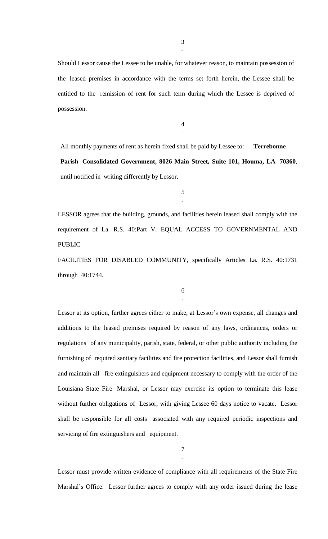Should Lessor cause the Lessee to be unable, for whatever reason, to maintain possession of the leased premises in accordance with the terms set forth herein, the Lessee shall be entitled to the remission of rent for such term during which the Lessee is deprived of possession.

> 4 .

All monthly payments of rent as herein fixed shall be paid by Lessee to: **Terrebonne Parish Consolidated Government, 8026 Main Street, Suite 101, Houma, LA 70360**, until notified in writing differently by Lessor.

> 5 .

LESSOR agrees that the building, grounds, and facilities herein leased shall comply with the requirement of La. R.S. 40:Part V. EQUAL ACCESS TO GOVERNMENTAL AND PUBLIC

FACILITIES FOR DISABLED COMMUNITY, specifically Articles La. R.S. 40:1731 through 40:1744.

> 6 .

Lessor at its option, further agrees either to make, at Lessor's own expense, all changes and additions to the leased premises required by reason of any laws, ordinances, orders or regulations of any municipality, parish, state, federal, or other public authority including the furnishing of required sanitary facilities and fire protection facilities, and Lessor shall furnish and maintain all fire extinguishers and equipment necessary to comply with the order of the Louisiana State Fire Marshal, or Lessor may exercise its option to terminate this lease without further obligations of Lessor, with giving Lessee 60 days notice to vacate. Lessor shall be responsible for all costs associated with any required periodic inspections and servicing of fire extinguishers and equipment.

> 7 .

Lessor must provide written evidence of compliance with all requirements of the State Fire Marshal's Office. Lessor further agrees to comply with any order issued during the lease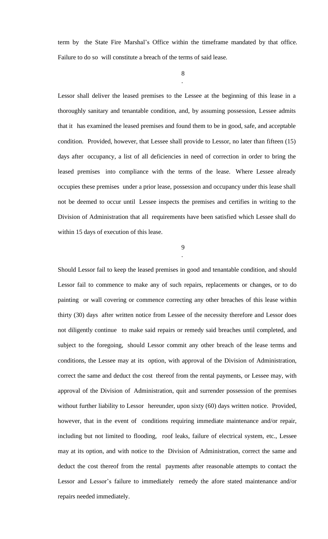term by the State Fire Marshal's Office within the timeframe mandated by that office. Failure to do so will constitute a breach of the terms of said lease.

> 8 .

Lessor shall deliver the leased premises to the Lessee at the beginning of this lease in a thoroughly sanitary and tenantable condition, and, by assuming possession, Lessee admits that it has examined the leased premises and found them to be in good, safe, and acceptable condition. Provided, however, that Lessee shall provide to Lessor, no later than fifteen (15) days after occupancy, a list of all deficiencies in need of correction in order to bring the leased premises into compliance with the terms of the lease. Where Lessee already occupies these premises under a prior lease, possession and occupancy under this lease shall not be deemed to occur until Lessee inspects the premises and certifies in writing to the Division of Administration that all requirements have been satisfied which Lessee shall do within 15 days of execution of this lease.

> 9 .

Should Lessor fail to keep the leased premises in good and tenantable condition, and should Lessor fail to commence to make any of such repairs, replacements or changes, or to do painting or wall covering or commence correcting any other breaches of this lease within thirty (30) days after written notice from Lessee of the necessity therefore and Lessor does not diligently continue to make said repairs or remedy said breaches until completed, and subject to the foregoing, should Lessor commit any other breach of the lease terms and conditions, the Lessee may at its option, with approval of the Division of Administration, correct the same and deduct the cost thereof from the rental payments, or Lessee may, with approval of the Division of Administration, quit and surrender possession of the premises without further liability to Lessor hereunder, upon sixty (60) days written notice. Provided, however, that in the event of conditions requiring immediate maintenance and/or repair, including but not limited to flooding, roof leaks, failure of electrical system, etc., Lessee may at its option, and with notice to the Division of Administration, correct the same and deduct the cost thereof from the rental payments after reasonable attempts to contact the Lessor and Lessor's failure to immediately remedy the afore stated maintenance and/or repairs needed immediately.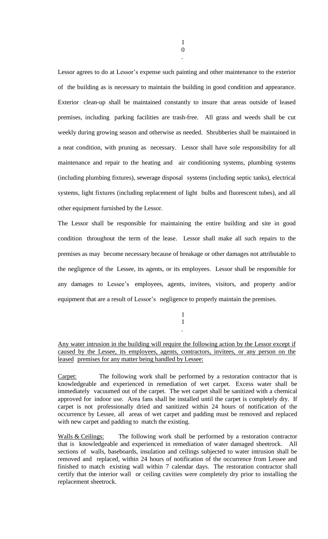Lessor agrees to do at Lessor's expense such painting and other maintenance to the exterior of the building as is necessary to maintain the building in good condition and appearance. Exterior clean-up shall be maintained constantly to insure that areas outside of leased premises, including parking facilities are trash-free. All grass and weeds shall be cut weekly during growing season and otherwise as needed. Shrubberies shall be maintained in a neat condition, with pruning as necessary. Lessor shall have sole responsibility for all maintenance and repair to the heating and air conditioning systems, plumbing systems (including plumbing fixtures), sewerage disposal systems (including septic tanks), electrical systems, light fixtures (including replacement of light bulbs and fluorescent tubes), and all other equipment furnished by the Lessor.

The Lessor shall be responsible for maintaining the entire building and site in good condition throughout the term of the lease. Lessor shall make all such repairs to the premises as may become necessary because of breakage or other damages not attributable to the negligence of the Lessee, its agents, or its employees. Lessor shall be responsible for any damages to Lessee's employees, agents, invitees, visitors, and property and/or equipment that are a result of Lessor's negligence to properly maintain the premises.

> 1 1 .

Any water intrusion in the building will require the following action by the Lessor except if caused by the Lessee, its employees, agents, contractors, invitees, or any person on the leased premises for any matter being handled by Lessee:

Carpet: The following work shall be performed by a restoration contractor that is knowledgeable and experienced in remediation of wet carpet. Excess water shall be immediately vacuumed out of the carpet. The wet carpet shall be sanitized with a chemical approved for indoor use. Area fans shall be installed until the carpet is completely dry. If carpet is not professionally dried and sanitized within 24 hours of notification of the occurrence by Lessee, all areas of wet carpet and padding must be removed and replaced with new carpet and padding to match the existing.

Walls & Ceilings: The following work shall be performed by a restoration contractor that is knowledgeable and experienced in remediation of water damaged sheetrock. All sections of walls, baseboards, insulation and ceilings subjected to water intrusion shall be removed and replaced, within 24 hours of notification of the occurrence from Lessee and finished to match existing wall within 7 calendar days. The restoration contractor shall certify that the interior wall or ceiling cavities were completely dry prior to installing the replacement sheetrock.

.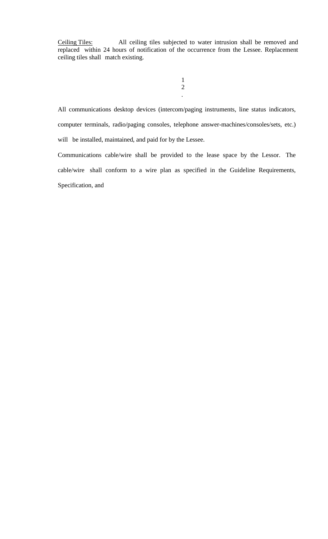Ceiling Tiles: All ceiling tiles subjected to water intrusion shall be removed and replaced within 24 hours of notification of the occurrence from the Lessee. Replacement ceiling tiles shall match existing.

> 1 2 .

All communications desktop devices (intercom/paging instruments, line status indicators, computer terminals, radio/paging consoles, telephone answer-machines/consoles/sets, etc.) will be installed, maintained, and paid for by the Lessee.

Communications cable/wire shall be provided to the lease space by the Lessor. The cable/wire shall conform to a wire plan as specified in the Guideline Requirements, Specification, and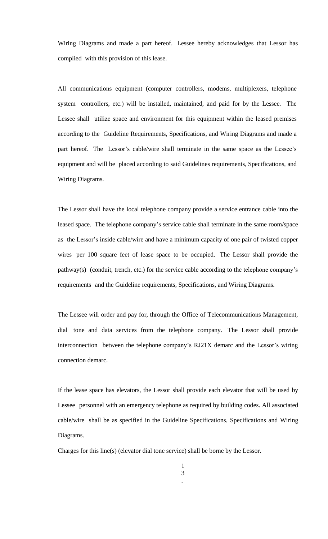Wiring Diagrams and made a part hereof. Lessee hereby acknowledges that Lessor has complied with this provision of this lease.

All communications equipment (computer controllers, modems, multiplexers, telephone system controllers, etc.) will be installed, maintained, and paid for by the Lessee. The Lessee shall utilize space and environment for this equipment within the leased premises according to the Guideline Requirements, Specifications, and Wiring Diagrams and made a part hereof. The Lessor's cable/wire shall terminate in the same space as the Lessee's equipment and will be placed according to said Guidelines requirements, Specifications, and Wiring Diagrams.

The Lessor shall have the local telephone company provide a service entrance cable into the leased space. The telephone company's service cable shall terminate in the same room/space as the Lessor's inside cable/wire and have a minimum capacity of one pair of twisted copper wires per 100 square feet of lease space to be occupied. The Lessor shall provide the pathway(s) (conduit, trench, etc.) for the service cable according to the telephone company's requirements and the Guideline requirements, Specifications, and Wiring Diagrams.

The Lessee will order and pay for, through the Office of Telecommunications Management, dial tone and data services from the telephone company. The Lessor shall provide interconnection between the telephone company's RJ21X demarc and the Lessor's wiring connection demarc.

If the lease space has elevators, the Lessor shall provide each elevator that will be used by Lessee personnel with an emergency telephone as required by building codes. All associated cable/wire shall be as specified in the Guideline Specifications, Specifications and Wiring Diagrams.

Charges for this line(s) (elevator dial tone service) shall be borne by the Lessor.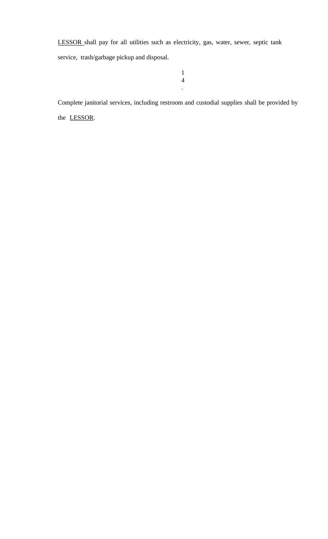LESSOR shall pay for all utilities such as electricity, gas, water, sewer, septic tank service, trash/garbage pickup and disposal.

> 1 4

> > .

Complete janitorial services, including restroom and custodial supplies shall be provided by the LESSOR.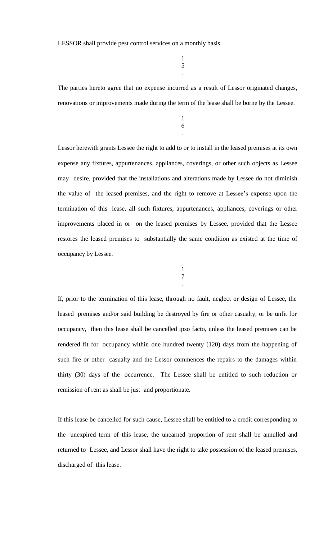LESSOR shall provide pest control services on a monthly basis.

1 5 .

The parties hereto agree that no expense incurred as a result of Lessor originated changes, renovations or improvements made during the term of the lease shall be borne by the Lessee.

> 1 6 .

Lessor herewith grants Lessee the right to add to or to install in the leased premises at its own expense any fixtures, appurtenances, appliances, coverings, or other such objects as Lessee may desire, provided that the installations and alterations made by Lessee do not diminish the value of the leased premises, and the right to remove at Lessee's expense upon the termination of this lease, all such fixtures, appurtenances, appliances, coverings or other improvements placed in or on the leased premises by Lessee, provided that the Lessee restores the leased premises to substantially the same condition as existed at the time of occupancy by Lessee.

> 1 7

> > .

If, prior to the termination of this lease, through no fault, neglect or design of Lessee, the leased premises and/or said building be destroyed by fire or other casualty, or be unfit for occupancy, then this lease shall be cancelled ipso facto, unless the leased premises can be rendered fit for occupancy within one hundred twenty (120) days from the happening of such fire or other casualty and the Lessor commences the repairs to the damages within thirty (30) days of the occurrence. The Lessee shall be entitled to such reduction or remission of rent as shall be just and proportionate.

If this lease be cancelled for such cause, Lessee shall be entitled to a credit corresponding to the unexpired term of this lease, the unearned proportion of rent shall be annulled and returned to Lessee, and Lessor shall have the right to take possession of the leased premises, discharged of this lease.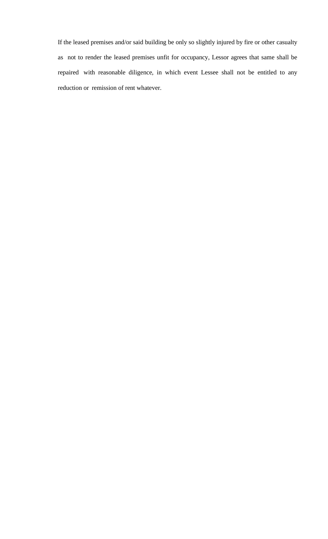If the leased premises and/or said building be only so slightly injured by fire or other casualty as not to render the leased premises unfit for occupancy, Lessor agrees that same shall be repaired with reasonable diligence, in which event Lessee shall not be entitled to any reduction or remission of rent whatever.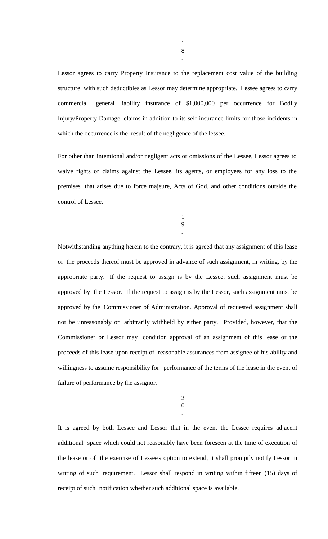Lessor agrees to carry Property Insurance to the replacement cost value of the building structure with such deductibles as Lessor may determine appropriate. Lessee agrees to carry commercial general liability insurance of \$1,000,000 per occurrence for Bodily Injury/Property Damage claims in addition to its self-insurance limits for those incidents in which the occurrence is the result of the negligence of the lessee.

For other than intentional and/or negligent acts or omissions of the Lessee, Lessor agrees to waive rights or claims against the Lessee, its agents, or employees for any loss to the premises that arises due to force majeure, Acts of God, and other conditions outside the control of Lessee.

> 1 9 .

Notwithstanding anything herein to the contrary, it is agreed that any assignment of this lease or the proceeds thereof must be approved in advance of such assignment, in writing, by the appropriate party. If the request to assign is by the Lessee, such assignment must be approved by the Lessor. If the request to assign is by the Lessor, such assignment must be approved by the Commissioner of Administration. Approval of requested assignment shall not be unreasonably or arbitrarily withheld by either party. Provided, however, that the Commissioner or Lessor may condition approval of an assignment of this lease or the proceeds of this lease upon receipt of reasonable assurances from assignee of his ability and willingness to assume responsibility for performance of the terms of the lease in the event of failure of performance by the assignor.

> 2 0 .

It is agreed by both Lessee and Lessor that in the event the Lessee requires adjacent additional space which could not reasonably have been foreseen at the time of execution of the lease or of the exercise of Lessee's option to extend, it shall promptly notify Lessor in writing of such requirement. Lessor shall respond in writing within fifteen (15) days of receipt of such notification whether such additional space is available.

1 8

.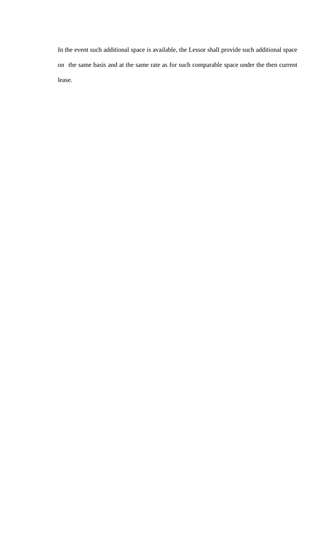In the event such additional space is available, the Lessor shall provide such additional space on the same basis and at the same rate as for such comparable space under the then current lease.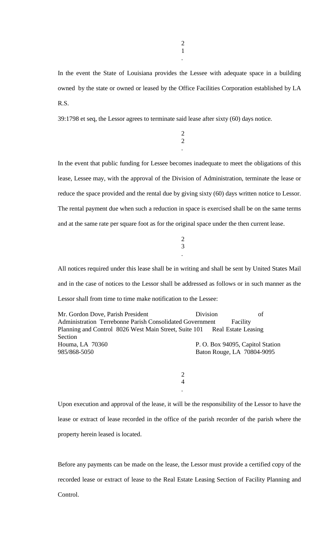.

In the event the State of Louisiana provides the Lessee with adequate space in a building owned by the state or owned or leased by the Office Facilities Corporation established by LA R.S.

39:1798 et seq, the Lessor agrees to terminate said lease after sixty (60) days notice.

2 2

.

In the event that public funding for Lessee becomes inadequate to meet the obligations of this lease, Lessee may, with the approval of the Division of Administration, terminate the lease or reduce the space provided and the rental due by giving sixty (60) days written notice to Lessor. The rental payment due when such a reduction in space is exercised shall be on the same terms and at the same rate per square foot as for the original space under the then current lease.

> 2 3 .

All notices required under this lease shall be in writing and shall be sent by United States Mail and in the case of notices to the Lessor shall be addressed as follows or in such manner as the Lessor shall from time to time make notification to the Lessee:

Mr. Gordon Dove, Parish President Division of Administration Terrebonne Parish Consolidated Government Facility Planning and Control 8026 West Main Street, Suite 101 Real Estate Leasing Section Houma, LA 70360 P.O. Box 94095, Capitol Station 985/868-5050 Baton Rouge, LA 70804-9095

> 2 4 .

Upon execution and approval of the lease, it will be the responsibility of the Lessor to have the lease or extract of lease recorded in the office of the parish recorder of the parish where the property herein leased is located.

Before any payments can be made on the lease, the Lessor must provide a certified copy of the recorded lease or extract of lease to the Real Estate Leasing Section of Facility Planning and Control.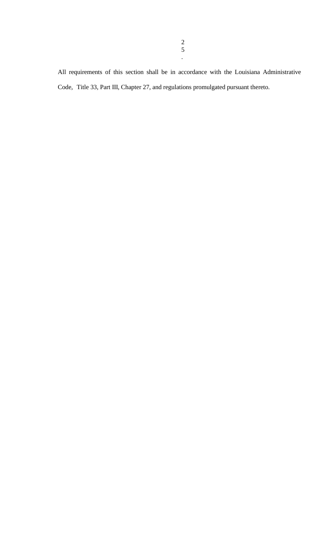All requirements of this section shall be in accordance with the Louisiana Administrative Code, Title 33, Part III, Chapter 27, and regulations promulgated pursuant thereto.

.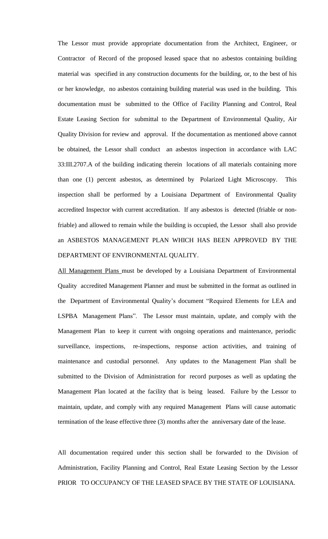The Lessor must provide appropriate documentation from the Architect, Engineer, or Contractor of Record of the proposed leased space that no asbestos containing building material was specified in any construction documents for the building, or, to the best of his or her knowledge, no asbestos containing building material was used in the building. This documentation must be submitted to the Office of Facility Planning and Control, Real Estate Leasing Section for submittal to the Department of Environmental Quality, Air Quality Division for review and approval. If the documentation as mentioned above cannot be obtained, the Lessor shall conduct an asbestos inspection in accordance with LAC 33:III.2707.A of the building indicating therein locations of all materials containing more than one (1) percent asbestos, as determined by Polarized Light Microscopy. This inspection shall be performed by a Louisiana Department of Environmental Quality accredited Inspector with current accreditation. If any asbestos is detected (friable or nonfriable) and allowed to remain while the building is occupied, the Lessor shall also provide an ASBESTOS MANAGEMENT PLAN WHICH HAS BEEN APPROVED BY THE DEPARTMENT OF ENVIRONMENTAL QUALITY.

All Management Plans must be developed by a Louisiana Department of Environmental Quality accredited Management Planner and must be submitted in the format as outlined in the Department of Environmental Quality's document "Required Elements for LEA and LSPBA Management Plans". The Lessor must maintain, update, and comply with the Management Plan to keep it current with ongoing operations and maintenance, periodic surveillance, inspections, re-inspections, response action activities, and training of maintenance and custodial personnel. Any updates to the Management Plan shall be submitted to the Division of Administration for record purposes as well as updating the Management Plan located at the facility that is being leased. Failure by the Lessor to maintain, update, and comply with any required Management Plans will cause automatic termination of the lease effective three (3) months after the anniversary date of the lease.

All documentation required under this section shall be forwarded to the Division of Administration, Facility Planning and Control, Real Estate Leasing Section by the Lessor PRIOR TO OCCUPANCY OF THE LEASED SPACE BY THE STATE OF LOUISIANA.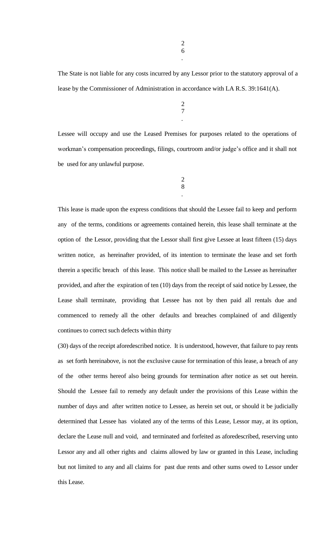The State is not liable for any costs incurred by any Lessor prior to the statutory approval of a lease by the Commissioner of Administration in accordance with LA R.S. 39:1641(A).

> 2 7 .

Lessee will occupy and use the Leased Premises for purposes related to the operations of workman's compensation proceedings, filings, courtroom and/or judge's office and it shall not be used for any unlawful purpose.

$$
\begin{array}{c} 2 \\ 8 \end{array}
$$

.

This lease is made upon the express conditions that should the Lessee fail to keep and perform any of the terms, conditions or agreements contained herein, this lease shall terminate at the option of the Lessor, providing that the Lessor shall first give Lessee at least fifteen (15) days written notice, as hereinafter provided, of its intention to terminate the lease and set forth therein a specific breach of this lease. This notice shall be mailed to the Lessee as hereinafter provided, and after the expiration of ten (10) days from the receipt of said notice by Lessee, the Lease shall terminate, providing that Lessee has not by then paid all rentals due and commenced to remedy all the other defaults and breaches complained of and diligently continues to correct such defects within thirty

(30) days of the receipt aforedescribed notice. It is understood, however, that failure to pay rents as set forth hereinabove, is not the exclusive cause for termination of this lease, a breach of any of the other terms hereof also being grounds for termination after notice as set out herein. Should the Lessee fail to remedy any default under the provisions of this Lease within the number of days and after written notice to Lessee, as herein set out, or should it be judicially determined that Lessee has violated any of the terms of this Lease, Lessor may, at its option, declare the Lease null and void, and terminated and forfeited as aforedescribed, reserving unto Lessor any and all other rights and claims allowed by law or granted in this Lease, including but not limited to any and all claims for past due rents and other sums owed to Lessor under this Lease.

.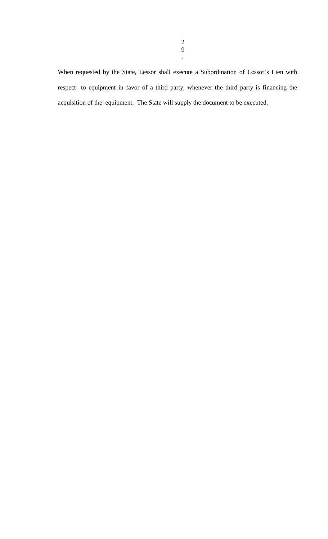When requested by the State, Lessor shall execute a Subordination of Lessor's Lien with respect to equipment in favor of a third party, whenever the third party is financing the acquisition of the equipment. The State will supply the document to be executed.

.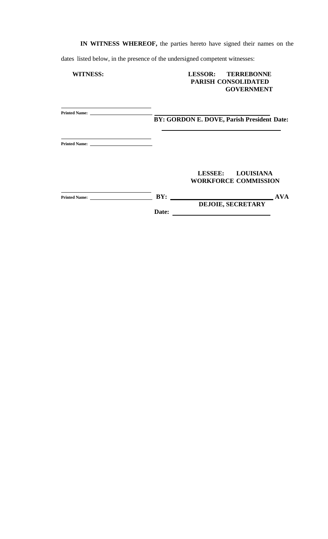**IN WITNESS WHEREOF,** the parties hereto have signed their names on the

dates listed below, in the presence of the undersigned competent witnesses:

# **WITNESS: LESSOR: TERREBONNE PARISH CONSOLIDATED GOVERNMENT**

| <b>Printed Name:</b> |       |                                            |            |
|----------------------|-------|--------------------------------------------|------------|
|                      |       | BY: GORDON E. DOVE, Parish President Date: |            |
|                      |       |                                            |            |
|                      |       |                                            |            |
|                      |       | LESSEE: LOUISIANA                          |            |
|                      |       | <b>WORKFORCE COMMISSION</b>                |            |
| <b>Printed Name:</b> | BY:   |                                            | <b>AVA</b> |
|                      |       | <b>DEJOIE, SECRETARY</b>                   |            |
|                      | Date: |                                            |            |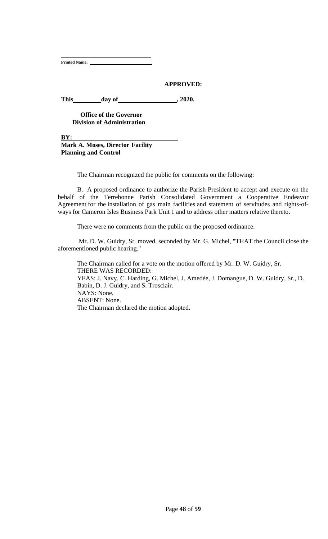**Printed Name:**

## **APPROVED:**

This day of 3020.

**Office of the Governor Division of Administration**

**BY:** 

**Mark A. Moses, Director Facility Planning and Control**

The Chairman recognized the public for comments on the following:

B. A proposed ordinance to authorize the Parish President to accept and execute on the behalf of the Terrebonne Parish Consolidated Government a Cooperative Endeavor Agreement for the installation of gas main facilities and statement of servitudes and rights-ofways for Cameron Isles Business Park Unit 1 and to address other matters relative thereto.

There were no comments from the public on the proposed ordinance.

Mr. D. W. Guidry, Sr. moved, seconded by Mr. G. Michel, "THAT the Council close the aforementioned public hearing."

The Chairman called for a vote on the motion offered by Mr. D. W. Guidry, Sr. THERE WAS RECORDED: YEAS: J. Navy, C. Harding, G. Michel, J. Amedée, J. Domangue, D. W. Guidry, Sr., D. Babin, D. J. Guidry, and S. Trosclair. NAYS: None. ABSENT: None. The Chairman declared the motion adopted.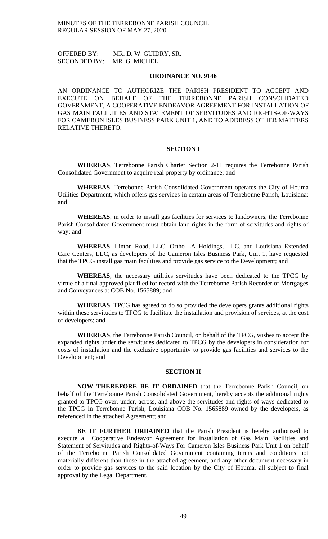OFFERED BY: MR. D. W. GUIDRY, SR. SECONDED BY: MR. G. MICHEL

#### **ORDINANCE NO. 9146**

AN ORDINANCE TO AUTHORIZE THE PARISH PRESIDENT TO ACCEPT AND EXECUTE ON BEHALF OF THE TERREBONNE PARISH CONSOLIDATED GOVERNMENT, A COOPERATIVE ENDEAVOR AGREEMENT FOR INSTALLATION OF GAS MAIN FACILITIES AND STATEMENT OF SERVITUDES AND RIGHTS-OF-WAYS FOR CAMERON ISLES BUSINESS PARK UNIT 1, AND TO ADDRESS OTHER MATTERS RELATIVE THERETO.

#### **SECTION I**

**WHEREAS**, Terrebonne Parish Charter Section 2-11 requires the Terrebonne Parish Consolidated Government to acquire real property by ordinance; and

**WHEREAS**, Terrebonne Parish Consolidated Government operates the City of Houma Utilities Department, which offers gas services in certain areas of Terrebonne Parish, Louisiana; and

**WHEREAS**, in order to install gas facilities for services to landowners, the Terrebonne Parish Consolidated Government must obtain land rights in the form of servitudes and rights of way; and

**WHEREAS**, Linton Road, LLC, Ortho-LA Holdings, LLC, and Louisiana Extended Care Centers, LLC, as developers of the Cameron Isles Business Park, Unit 1, have requested that the TPCG install gas main facilities and provide gas service to the Development; and

**WHEREAS**, the necessary utilities servitudes have been dedicated to the TPCG by virtue of a final approved plat filed for record with the Terrebonne Parish Recorder of Mortgages and Conveyances at COB No. 1565889; and

**WHEREAS**, TPCG has agreed to do so provided the developers grants additional rights within these servitudes to TPCG to facilitate the installation and provision of services, at the cost of developers; and

**WHEREAS**, the Terrebonne Parish Council, on behalf of the TPCG, wishes to accept the expanded rights under the servitudes dedicated to TPCG by the developers in consideration for costs of installation and the exclusive opportunity to provide gas facilities and services to the Development; and

### **SECTION II**

**NOW THEREFORE BE IT ORDAINED** that the Terrebonne Parish Council, on behalf of the Terrebonne Parish Consolidated Government, hereby accepts the additional rights granted to TPCG over, under, across, and above the servitudes and rights of ways dedicated to the TPCG in Terrebonne Parish, Louisiana COB No. 1565889 owned by the developers, as referenced in the attached Agreement; and

**BE IT FURTHER ORDAINED** that the Parish President is hereby authorized to execute a Cooperative Endeavor Agreement for Installation of Gas Main Facilities and Statement of Servitudes and Rights-of-Ways For Cameron Isles Business Park Unit 1 on behalf of the Terrebonne Parish Consolidated Government containing terms and conditions not materially different than those in the attached agreement, and any other document necessary in order to provide gas services to the said location by the City of Houma, all subject to final approval by the Legal Department.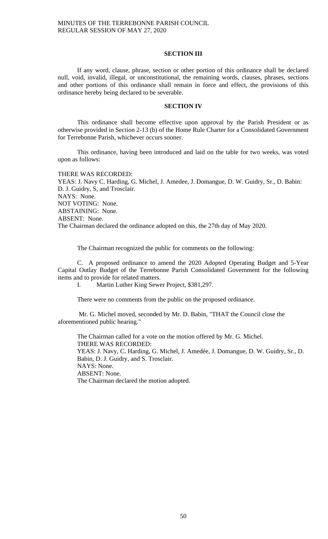## **SECTION III**

If any word, clause, phrase, section or other portion of this ordinance shall be declared null, void, invalid, illegal, or unconstitutional, the remaining words, clauses, phrases, sections and other portions of this ordinance shall remain in force and effect, the provisions of this ordinance hereby being declared to be severable.

#### **SECTION IV**

This ordinance shall become effective upon approval by the Parish President or as otherwise provided in Section 2-13 (b) of the Home Rule Charter for a Consolidated Government for Terrebonne Parish, whichever occurs sooner.

This ordinance, having been introduced and laid on the table for two weeks, was voted upon as follows:

THERE WAS RECORDED:

YEAS: J. Navy C. Harding, G. Michel, J. Amedee, J. Domangue, D. W. Guidry, Sr., D. Babin: D. J. Guidry, S, and Trosclair. NAYS: None. NOT VOTING: None. ABSTAINING: None. ABSENT: None. The Chairman declared the ordinance adopted on this, the 27th day of May 2020.

The Chairman recognized the public for comments on the following:

C. A proposed ordinance to amend the 2020 Adopted Operating Budget and 5-Year Capital Outlay Budget of the Terrebonne Parish Consolidated Government for the following items and to provide for related matters.

I. Martin Luther King Sewer Project, \$381,297.

There were no comments from the public on the proposed ordinance.

Mr. G. Michel moved, seconded by Mr. D. Babin, "THAT the Council close the aforementioned public hearing."

The Chairman called for a vote on the motion offered by Mr. G. Michel. THERE WAS RECORDED: YEAS: J. Navy, C. Harding, G. Michel, J. Amedée, J. Domangue, D. W. Guidry, Sr., D. Babin, D. J. Guidry, and S. Trosclair. NAYS: None. ABSENT: None. The Chairman declared the motion adopted.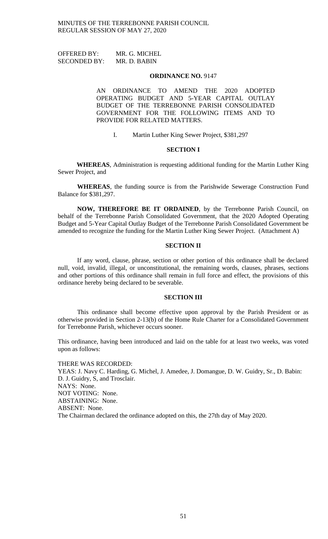OFFERED BY: MR. G. MICHEL SECONDED BY: MR. D. BABIN

#### **ORDINANCE NO.** 9147

AN ORDINANCE TO AMEND THE 2020 ADOPTED OPERATING BUDGET AND 5-YEAR CAPITAL OUTLAY BUDGET OF THE TERREBONNE PARISH CONSOLIDATED GOVERNMENT FOR THE FOLLOWING ITEMS AND TO PROVIDE FOR RELATED MATTERS.

I. Martin Luther King Sewer Project, \$381,297

### **SECTION I**

**WHEREAS**, Administration is requesting additional funding for the Martin Luther King Sewer Project, and

**WHEREAS**, the funding source is from the Parishwide Sewerage Construction Fund Balance for \$381,297.

**NOW, THEREFORE BE IT ORDAINED**, by the Terrebonne Parish Council, on behalf of the Terrebonne Parish Consolidated Government, that the 2020 Adopted Operating Budget and 5-Year Capital Outlay Budget of the Terrebonne Parish Consolidated Government be amended to recognize the funding for the Martin Luther King Sewer Project. (Attachment A)

## **SECTION II**

If any word, clause, phrase, section or other portion of this ordinance shall be declared null, void, invalid, illegal, or unconstitutional, the remaining words, clauses, phrases, sections and other portions of this ordinance shall remain in full force and effect, the provisions of this ordinance hereby being declared to be severable.

### **SECTION III**

This ordinance shall become effective upon approval by the Parish President or as otherwise provided in Section 2-13(b) of the Home Rule Charter for a Consolidated Government for Terrebonne Parish, whichever occurs sooner.

This ordinance, having been introduced and laid on the table for at least two weeks, was voted upon as follows:

THERE WAS RECORDED: YEAS: J. Navy C. Harding, G. Michel, J. Amedee, J. Domangue, D. W. Guidry, Sr., D. Babin: D. J. Guidry, S, and Trosclair. NAYS: None. NOT VOTING: None. ABSTAINING: None. ABSENT: None. The Chairman declared the ordinance adopted on this, the 27th day of May 2020.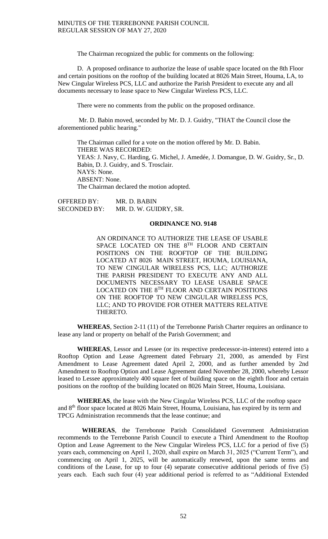The Chairman recognized the public for comments on the following:

D. A proposed ordinance to authorize the lease of usable space located on the 8th Floor and certain positions on the rooftop of the building located at 8026 Main Street, Houma, LA, to New Cingular Wireless PCS, LLC and authorize the Parish President to execute any and all documents necessary to lease space to New Cingular Wireless PCS, LLC.

There were no comments from the public on the proposed ordinance.

Mr. D. Babin moved, seconded by Mr. D. J. Guidry, "THAT the Council close the aforementioned public hearing."

The Chairman called for a vote on the motion offered by Mr. D. Babin. THERE WAS RECORDED: YEAS: J. Navy, C. Harding, G. Michel, J. Amedée, J. Domangue, D. W. Guidry, Sr., D. Babin, D. J. Guidry, and S. Trosclair. NAYS: None. ABSENT: None. The Chairman declared the motion adopted.

OFFERED BY: MR. D. BABIN SECONDED BY: MR. D. W. GUIDRY, SR.

# **ORDINANCE NO. 9148**

AN ORDINANCE TO AUTHORIZE THE LEASE OF USABLE SPACE LOCATED ON THE 8TH FLOOR AND CERTAIN POSITIONS ON THE ROOFTOP OF THE BUILDING LOCATED AT 8026 MAIN STREET, HOUMA, LOUISIANA, TO NEW CINGULAR WIRELESS PCS, LLC; AUTHORIZE THE PARISH PRESIDENT TO EXECUTE ANY AND ALL DOCUMENTS NECESSARY TO LEASE USABLE SPACE LOCATED ON THE  $8^{\mathrm{TH}}$  FLOOR AND CERTAIN POSITIONS ON THE ROOFTOP TO NEW CINGULAR WIRELESS PCS, LLC; AND TO PROVIDE FOR OTHER MATTERS RELATIVE THERETO.

**WHEREAS**, Section 2-11 (11) of the Terrebonne Parish Charter requires an ordinance to lease any land or property on behalf of the Parish Government; and

**WHEREAS**, Lessor and Lessee (or its respective predecessor-in-interest) entered into a Rooftop Option and Lease Agreement dated February 21, 2000, as amended by First Amendment to Lease Agreement dated April 2, 2000, and as further amended by 2nd Amendment to Rooftop Option and Lease Agreement dated November 28, 2000, whereby Lessor leased to Lessee approximately 400 square feet of building space on the eighth floor and certain positions on the rooftop of the building located on 8026 Main Street, Houma, Louisiana.

**WHEREAS**, the lease with the New Cingular Wireless PCS, LLC of the rooftop space and 8th floor space located at 8026 Main Street, Houma, Louisiana, has expired by its term and TPCG Administration recommends that the lease continue; and

**WHEREAS**, the Terrebonne Parish Consolidated Government Administration recommends to the Terrebonne Parish Council to execute a Third Amendment to the Rooftop Option and Lease Agreement to the New Cingular Wireless PCS, LLC for a period of five (5) years each, commencing on April 1, 2020, shall expire on March 31, 2025 ("Current Term"), and commencing on April 1, 2025, will be automatically renewed, upon the same terms and conditions of the Lease, for up to four (4) separate consecutive additional periods of five (5) years each. Each such four (4) year additional period is referred to as "Additional Extended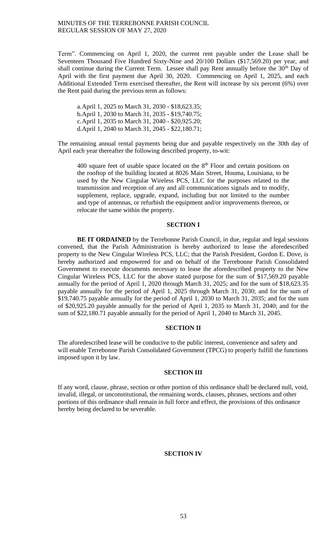Term". Commencing on April 1, 2020, the current rent payable under the Lease shall be Seventeen Thousand Five Hundred Sixty-Nine and 20/100 Dollars (\$17,569.20) per year, and shall continue during the Current Term. Lessee shall pay Rent annually before the 30<sup>th</sup> Day of April with the first payment due April 30, 2020. Commencing on April 1, 2025, and each Additional Extended Term exercised thereafter, the Rent will increase by six percent (6%) over the Rent paid during the previous term as follows:

a.April 1, 2025 to March 31, 2030 - \$18,623.35; b.April 1, 2030 to March 31, 2035 - \$19,740.75; c.April 1, 2035 to March 31, 2040 - \$20,925.20; d.April 1, 2040 to March 31, 2045 - \$22,180.71;

The remaining annual rental payments being due and payable respectively on the 30th day of April each year thereafter the following described property, to-wit:

400 square feet of usable space located on the  $8<sup>th</sup>$  Floor and certain positions on the rooftop of the building located at 8026 Main Street, Houma, Louisiana, to be used by the New Cingular Wireless PCS, LLC for the purposes related to the transmission and reception of any and all communications signals and to modify, supplement, replace, upgrade, expand, including but not limited to the number and type of antennas, or refurbish the equipment and/or improvements thereon, or relocate the same within the property.

## **SECTION I**

**BE IT ORDAINED** by the Terrebonne Parish Council, in due, regular and legal sessions convened, that the Parish Administration is hereby authorized to lease the aforedescribed property to the New Cingular Wireless PCS, LLC; that the Parish President, Gordon E. Dove, is hereby authorized and empowered for and on behalf of the Terrebonne Parish Consolidated Government to execute documents necessary to lease the aforedescribed property to the New Cingular Wireless PCS, LLC for the above stated purpose for the sum of \$17,569.20 payable annually for the period of April 1, 2020 through March 31, 2025; and for the sum of \$18,623.35 payable annually for the period of April 1, 2025 through March 31, 2030; and for the sum of \$19,740.75 payable annually for the period of April 1, 2030 to March 31, 2035; and for the sum of \$20,925.20 payable annually for the period of April 1, 2035 to March 31, 2040; and for the sum of \$22,180.71 payable annually for the period of April 1, 2040 to March 31, 2045.

### **SECTION II**

The aforedescribed lease will be conducive to the public interest, convenience and safety and will enable Terrebonne Parish Consolidated Government (TPCG) to properly fulfill the functions imposed upon it by law.

## **SECTION III**

If any word, clause, phrase, section or other portion of this ordinance shall be declared null, void, invalid, illegal, or unconstitutional, the remaining words, clauses, phrases, sections and other portions of this ordinance shall remain in full force and effect, the provisions of this ordinance hereby being declared to be severable.

## **SECTION IV**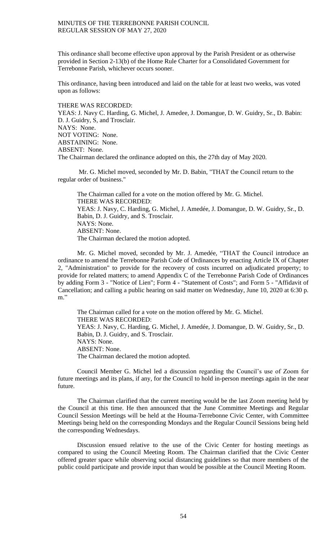This ordinance shall become effective upon approval by the Parish President or as otherwise provided in Section 2-13(b) of the Home Rule Charter for a Consolidated Government for Terrebonne Parish, whichever occurs sooner.

This ordinance, having been introduced and laid on the table for at least two weeks, was voted upon as follows:

#### THERE WAS RECORDED:

YEAS: J. Navy C. Harding, G. Michel, J. Amedee, J. Domangue, D. W. Guidry, Sr., D. Babin: D. J. Guidry, S, and Trosclair. NAYS: None. NOT VOTING: None. ABSTAINING: None. ABSENT: None. The Chairman declared the ordinance adopted on this, the 27th day of May 2020.

Mr. G. Michel moved, seconded by Mr. D. Babin, "THAT the Council return to the regular order of business."

The Chairman called for a vote on the motion offered by Mr. G. Michel. THERE WAS RECORDED: YEAS: J. Navy, C. Harding, G. Michel, J. Amedée, J. Domangue, D. W. Guidry, Sr., D. Babin, D. J. Guidry, and S. Trosclair. NAYS: None. ABSENT: None. The Chairman declared the motion adopted.

Mr. G. Michel moved, seconded by Mr. J. Amedée, "THAT the Council introduce an ordinance to amend the Terrebonne Parish Code of Ordinances by enacting Article IX of Chapter 2, "Administration" to provide for the recovery of costs incurred on adjudicated property; to provide for related matters; to amend Appendix C of the Terrebonne Parish Code of Ordinances by adding Form 3 - "Notice of Lien"; Form 4 - "Statement of Costs"; and Form 5 - "Affidavit of Cancellation; and calling a public hearing on said matter on Wednesday, June 10, 2020 at 6:30 p. m."

The Chairman called for a vote on the motion offered by Mr. G. Michel. THERE WAS RECORDED: YEAS: J. Navy, C. Harding, G. Michel, J. Amedée, J. Domangue, D. W. Guidry, Sr., D. Babin, D. J. Guidry, and S. Trosclair. NAYS: None. ABSENT: None. The Chairman declared the motion adopted.

Council Member G. Michel led a discussion regarding the Council's use of Zoom for future meetings and its plans, if any, for the Council to hold in-person meetings again in the near future.

The Chairman clarified that the current meeting would be the last Zoom meeting held by the Council at this time. He then announced that the June Committee Meetings and Regular Council Session Meetings will be held at the Houma-Terrebonne Civic Center, with Committee Meetings being held on the corresponding Mondays and the Regular Council Sessions being held the corresponding Wednesdays.

Discussion ensued relative to the use of the Civic Center for hosting meetings as compared to using the Council Meeting Room. The Chairman clarified that the Civic Center offered greater space while observing social distancing guidelines so that more members of the public could participate and provide input than would be possible at the Council Meeting Room.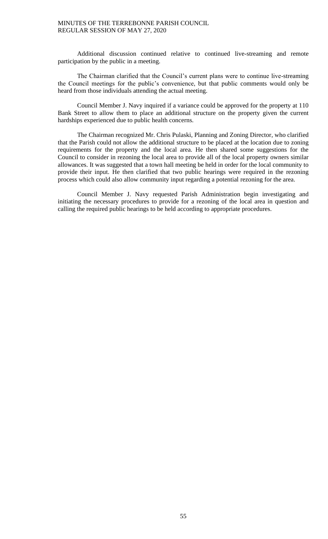Additional discussion continued relative to continued live-streaming and remote participation by the public in a meeting.

The Chairman clarified that the Council's current plans were to continue live-streaming the Council meetings for the public's convenience, but that public comments would only be heard from those individuals attending the actual meeting.

Council Member J. Navy inquired if a variance could be approved for the property at 110 Bank Street to allow them to place an additional structure on the property given the current hardships experienced due to public health concerns.

The Chairman recognized Mr. Chris Pulaski, Planning and Zoning Director, who clarified that the Parish could not allow the additional structure to be placed at the location due to zoning requirements for the property and the local area. He then shared some suggestions for the Council to consider in rezoning the local area to provide all of the local property owners similar allowances. It was suggested that a town hall meeting be held in order for the local community to provide their input. He then clarified that two public hearings were required in the rezoning process which could also allow community input regarding a potential rezoning for the area.

Council Member J. Navy requested Parish Administration begin investigating and initiating the necessary procedures to provide for a rezoning of the local area in question and calling the required public hearings to be held according to appropriate procedures.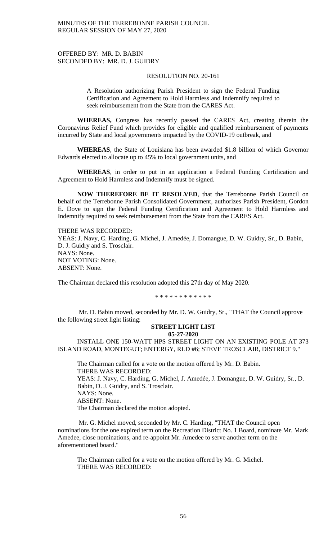## OFFERED BY: MR. D. BABIN SECONDED BY: MR. D. J. GUIDRY

## RESOLUTION NO. 20-161

A Resolution authorizing Parish President to sign the Federal Funding Certification and Agreement to Hold Harmless and Indemnify required to seek reimbursement from the State from the CARES Act.

**WHEREAS,** Congress has recently passed the CARES Act, creating therein the Coronavirus Relief Fund which provides for eligible and qualified reimbursement of payments incurred by State and local governments impacted by the COVID-19 outbreak, and

**WHEREAS**, the State of Louisiana has been awarded \$1.8 billion of which Governor Edwards elected to allocate up to 45% to local government units, and

**WHEREAS**, in order to put in an application a Federal Funding Certification and Agreement to Hold Harmless and Indemnify must be signed.

**NOW THEREFORE BE IT RESOLVED**, that the Terrebonne Parish Council on behalf of the Terrebonne Parish Consolidated Government, authorizes Parish President, Gordon E. Dove to sign the Federal Funding Certification and Agreement to Hold Harmless and Indemnify required to seek reimbursement from the State from the CARES Act.

THERE WAS RECORDED: YEAS: J. Navy, C. Harding, G. Michel, J. Amedée, J. Domangue, D. W. Guidry, Sr., D. Babin, D. J. Guidry and S. Trosclair. NAYS: None. NOT VOTING: None. ABSENT: None.

The Chairman declared this resolution adopted this 27th day of May 2020.

\* \* \* \* \* \* \* \* \* \* \* \*

Mr. D. Babin moved, seconded by Mr. D. W. Guidry, Sr., "THAT the Council approve the following street light listing:

#### **STREET LIGHT LIST 05-27-2020**

INSTALL ONE 150-WATT HPS STREET LIGHT ON AN EXISTING POLE AT 373 ISLAND ROAD, MONTEGUT; ENTERGY, RLD #6; STEVE TROSCLAIR, DISTRICT 9."

The Chairman called for a vote on the motion offered by Mr. D. Babin. THERE WAS RECORDED: YEAS: J. Navy, C. Harding, G. Michel, J. Amedée, J. Domangue, D. W. Guidry, Sr., D. Babin, D. J. Guidry, and S. Trosclair. NAYS: None. ABSENT: None. The Chairman declared the motion adopted.

Mr. G. Michel moved, seconded by Mr. C. Harding, "THAT the Council open nominations for the one expired term on the Recreation District No. 1 Board, nominate Mr. Mark Amedee, close nominations, and re-appoint Mr. Amedee to serve another term on the aforementioned board."

The Chairman called for a vote on the motion offered by Mr. G. Michel. THERE WAS RECORDED: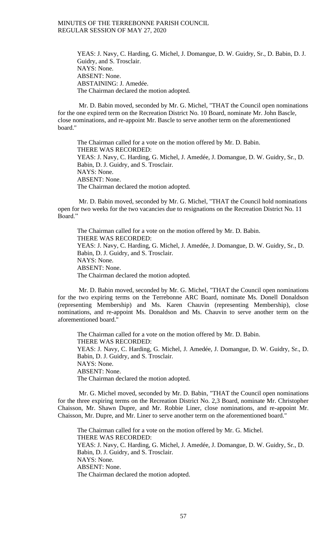YEAS: J. Navy, C. Harding, G. Michel, J. Domangue, D. W. Guidry, Sr., D. Babin, D. J. Guidry, and S. Trosclair. NAYS: None. ABSENT: None. ABSTAINING: J. Amedée. The Chairman declared the motion adopted.

Mr. D. Babin moved, seconded by Mr. G. Michel, "THAT the Council open nominations for the one expired term on the Recreation District No. 10 Board, nominate Mr. John Bascle, close nominations, and re-appoint Mr. Bascle to serve another term on the aforementioned board."

The Chairman called for a vote on the motion offered by Mr. D. Babin. THERE WAS RECORDED: YEAS: J. Navy, C. Harding, G. Michel, J. Amedée, J. Domangue, D. W. Guidry, Sr., D. Babin, D. J. Guidry, and S. Trosclair. NAYS: None. ABSENT: None. The Chairman declared the motion adopted.

Mr. D. Babin moved, seconded by Mr. G. Michel, "THAT the Council hold nominations open for two weeks for the two vacancies due to resignations on the Recreation District No. 11 Board."

The Chairman called for a vote on the motion offered by Mr. D. Babin. THERE WAS RECORDED: YEAS: J. Navy, C. Harding, G. Michel, J. Amedée, J. Domangue, D. W. Guidry, Sr., D. Babin, D. J. Guidry, and S. Trosclair. NAYS: None. ABSENT: None. The Chairman declared the motion adopted.

Mr. D. Babin moved, seconded by Mr. G. Michel, "THAT the Council open nominations for the two expiring terms on the Terrebonne ARC Board, nominate Ms. Donell Donaldson (representing Membership) and Ms. Karen Chauvin (representing Membership), close nominations, and re-appoint Ms. Donaldson and Ms. Chauvin to serve another term on the aforementioned board."

The Chairman called for a vote on the motion offered by Mr. D. Babin. THERE WAS RECORDED: YEAS: J. Navy, C. Harding, G. Michel, J. Amedée, J. Domangue, D. W. Guidry, Sr., D. Babin, D. J. Guidry, and S. Trosclair. NAYS: None. ABSENT: None. The Chairman declared the motion adopted.

Mr. G. Michel moved, seconded by Mr. D. Babin, "THAT the Council open nominations for the three expiring terms on the Recreation District No. 2,3 Board, nominate Mr. Christopher Chaisson, Mr. Shawn Dupre, and Mr. Robbie Liner, close nominations, and re-appoint Mr. Chaisson, Mr. Dupre, and Mr. Liner to serve another term on the aforementioned board."

The Chairman called for a vote on the motion offered by Mr. G. Michel. THERE WAS RECORDED: YEAS: J. Navy, C. Harding, G. Michel, J. Amedée, J. Domangue, D. W. Guidry, Sr., D. Babin, D. J. Guidry, and S. Trosclair. NAYS: None. ABSENT: None. The Chairman declared the motion adopted.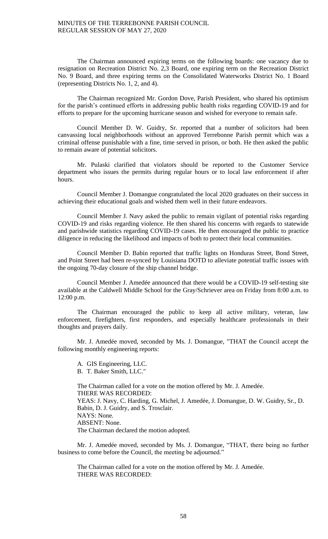The Chairman announced expiring terms on the following boards: one vacancy due to resignation on Recreation District No. 2,3 Board, one expiring term on the Recreation District No. 9 Board, and three expiring terms on the Consolidated Waterworks District No. 1 Board (representing Districts No. 1, 2, and 4).

The Chairman recognized Mr. Gordon Dove, Parish President, who shared his optimism for the parish's continued efforts in addressing public health risks regarding COVID-19 and for efforts to prepare for the upcoming hurricane season and wished for everyone to remain safe.

Council Member D. W. Guidry, Sr. reported that a number of solicitors had been canvassing local neighborhoods without an approved Terrebonne Parish permit which was a criminal offense punishable with a fine, time served in prison, or both. He then asked the public to remain aware of potential solicitors.

Mr. Pulaski clarified that violators should be reported to the Customer Service department who issues the permits during regular hours or to local law enforcement if after hours.

Council Member J. Domangue congratulated the local 2020 graduates on their success in achieving their educational goals and wished them well in their future endeavors.

Council Member J. Navy asked the public to remain vigilant of potential risks regarding COVID-19 and risks regarding violence. He then shared his concerns with regards to statewide and parishwide statistics regarding COVID-19 cases. He then encouraged the public to practice diligence in reducing the likelihood and impacts of both to protect their local communities.

Council Member D. Babin reported that traffic lights on Honduras Street, Bond Street, and Point Street had been re-synced by Louisiana DOTD to alleviate potential traffic issues with the ongoing 70-day closure of the ship channel bridge.

Council Member J. Amedée announced that there would be a COVID-19 self-testing site available at the Caldwell Middle School for the Gray/Schriever area on Friday from 8:00 a.m. to 12:00 p.m.

The Chairman encouraged the public to keep all active military, veteran, law enforcement, firefighters, first responders, and especially healthcare professionals in their thoughts and prayers daily.

Mr. J. Amedée moved, seconded by Ms. J. Domangue, "THAT the Council accept the following monthly engineering reports:

A. GIS Engineering, LLC. B. T. Baker Smith, LLC."

The Chairman called for a vote on the motion offered by Mr. J. Amedée. THERE WAS RECORDED: YEAS: J. Navy, C. Harding, G. Michel, J. Amedée, J. Domangue, D. W. Guidry, Sr., D. Babin, D. J. Guidry, and S. Trosclair. NAYS: None. ABSENT: None. The Chairman declared the motion adopted.

Mr. J. Amedée moved, seconded by Ms. J. Domangue, "THAT, there being no further business to come before the Council, the meeting be adjourned."

The Chairman called for a vote on the motion offered by Mr. J. Amedée. THERE WAS RECORDED: